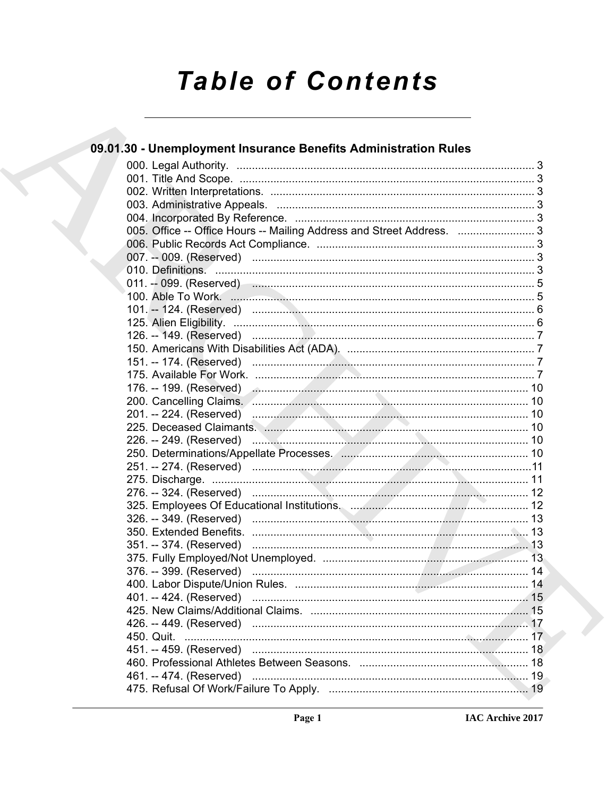# **Table of Contents**

| 09.01.30 - Unemployment Insurance Benefits Administration Rules                                                                                                                                                                      |  |
|--------------------------------------------------------------------------------------------------------------------------------------------------------------------------------------------------------------------------------------|--|
|                                                                                                                                                                                                                                      |  |
|                                                                                                                                                                                                                                      |  |
|                                                                                                                                                                                                                                      |  |
|                                                                                                                                                                                                                                      |  |
|                                                                                                                                                                                                                                      |  |
| 005. Office -- Office Hours -- Mailing Address and Street Address.  3                                                                                                                                                                |  |
|                                                                                                                                                                                                                                      |  |
|                                                                                                                                                                                                                                      |  |
|                                                                                                                                                                                                                                      |  |
| 011. -- 099. (Reserved) <b>Martin Martin Martin Martin Martin Martin Martin Martin Martin Martin Martin Martin Martin Martin Martin Martin Martin Martin Martin Martin Martin Martin Martin Martin Martin Martin Martin Martin M</b> |  |
|                                                                                                                                                                                                                                      |  |
|                                                                                                                                                                                                                                      |  |
|                                                                                                                                                                                                                                      |  |
|                                                                                                                                                                                                                                      |  |
|                                                                                                                                                                                                                                      |  |
|                                                                                                                                                                                                                                      |  |
|                                                                                                                                                                                                                                      |  |
| 176. -- 199. (Reserved) ………………………………………………………………………… 10                                                                                                                                                                              |  |
|                                                                                                                                                                                                                                      |  |
| 201. -- 224. (Reserved) <b>Election Construction Construction</b> 10                                                                                                                                                                 |  |
|                                                                                                                                                                                                                                      |  |
| 226. -- 249. (Reserved) <b>Election Construction Construction Construction</b> 10                                                                                                                                                    |  |
|                                                                                                                                                                                                                                      |  |
|                                                                                                                                                                                                                                      |  |
|                                                                                                                                                                                                                                      |  |
|                                                                                                                                                                                                                                      |  |
|                                                                                                                                                                                                                                      |  |
|                                                                                                                                                                                                                                      |  |
|                                                                                                                                                                                                                                      |  |
|                                                                                                                                                                                                                                      |  |
|                                                                                                                                                                                                                                      |  |
|                                                                                                                                                                                                                                      |  |
|                                                                                                                                                                                                                                      |  |
| 401. -- 424. (Reserved)                                                                                                                                                                                                              |  |
|                                                                                                                                                                                                                                      |  |
|                                                                                                                                                                                                                                      |  |
| 450. Quit.                                                                                                                                                                                                                           |  |
|                                                                                                                                                                                                                                      |  |
|                                                                                                                                                                                                                                      |  |
| 461. -- 474. (Reserved)                                                                                                                                                                                                              |  |
|                                                                                                                                                                                                                                      |  |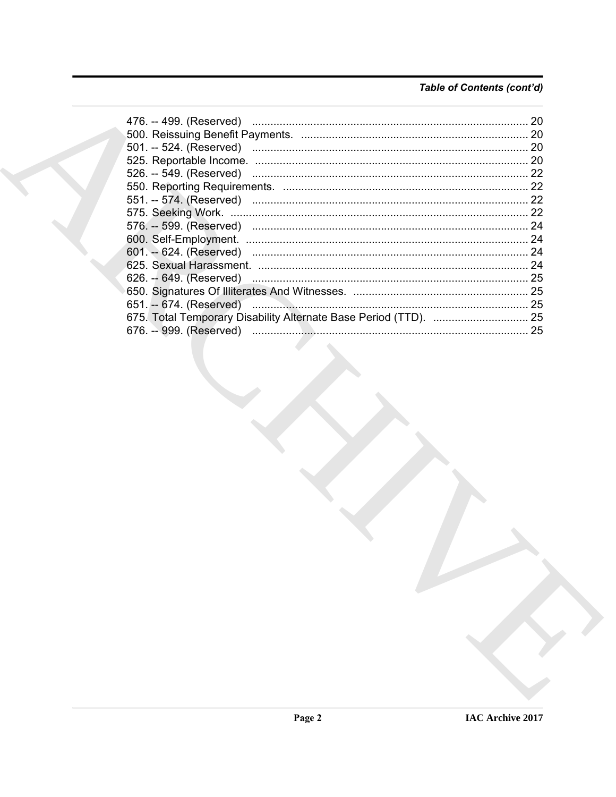# Table of Contents (cont'd)

|  | 20 |
|--|----|
|  |    |
|  |    |
|  | 20 |
|  | 22 |
|  |    |
|  | 22 |
|  |    |
|  |    |
|  | 24 |
|  | 24 |
|  | 24 |
|  |    |
|  |    |
|  |    |
|  |    |
|  | 25 |
|  |    |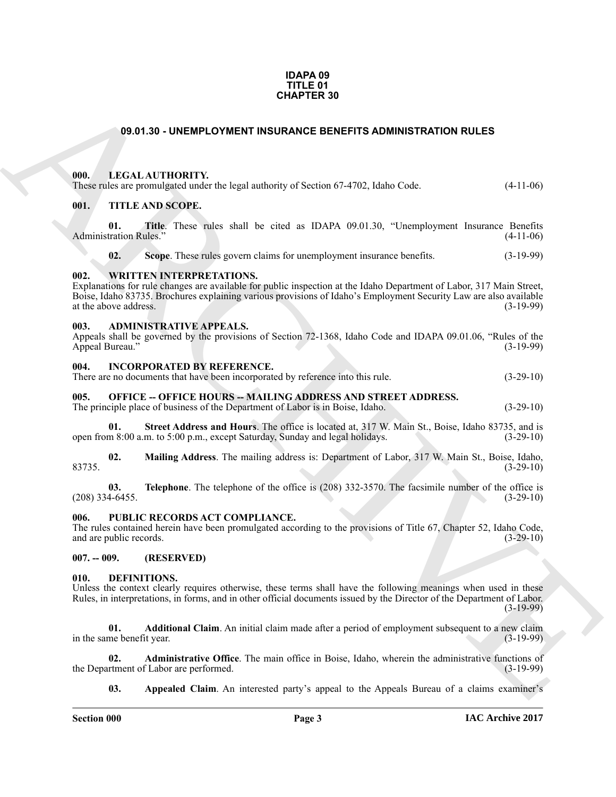#### **IDAPA 09 TITLE 01 CHAPTER 30**

#### **09.01.30 - UNEMPLOYMENT INSURANCE BENEFITS ADMINISTRATION RULES**

#### <span id="page-2-1"></span><span id="page-2-0"></span>**000. LEGAL AUTHORITY.**

| These rules are promulgated under the legal authority of Section 67-4702, Idaho Code. | $(4-11-06)$ |
|---------------------------------------------------------------------------------------|-------------|
|                                                                                       |             |

#### <span id="page-2-2"></span>**001. TITLE AND SCOPE.**

**01. Title**. These rules shall be cited as IDAPA 09.01.30, "Unemployment Insurance Benefits Administration Rules." (4-11-06)

**02.** Scope. These rules govern claims for unemployment insurance benefits.  $(3-19-99)$ 

#### <span id="page-2-3"></span>**002. WRITTEN INTERPRETATIONS.**

**CHAPTER 39**<br> **CHARCHIVE CONTEXT INSURANCE EXERCITS ADMINISTRATION RULES**<br> **CHARCHIVE CONTEXT INSURANCE EXERCITS ADMINISTRATION RULES**<br> **CHARCHIVE CONTEXT INSURANCE EXERCITS ADMINISTRATION RULES**<br> **CHARCHIVE CONTEXT INSUR** Explanations for rule changes are available for public inspection at the Idaho Department of Labor, 317 Main Street, Boise, Idaho 83735. Brochures explaining various provisions of Idaho's Employment Security Law are also available at the above address. (3-19-99) at the above address.

#### <span id="page-2-4"></span>**003. ADMINISTRATIVE APPEALS.**

Appeals shall be governed by the provisions of Section 72-1368, Idaho Code and IDAPA 09.01.06, "Rules of the Appeal Bureau." (3-19-99)

#### <span id="page-2-5"></span>**004. INCORPORATED BY REFERENCE.**

| There are no documents that have been incorporated by reference into this rule. | $(3-29-10)$ |
|---------------------------------------------------------------------------------|-------------|
|                                                                                 |             |

<span id="page-2-6"></span>**005. OFFICE -- OFFICE HOURS -- MAILING ADDRESS AND STREET ADDRESS.** The principle place of business of the Department of Labor is in Boise, Idaho. (3-29-10)

**01. Street Address and Hours**. The office is located at, 317 W. Main St., Boise, Idaho 83735, and is open from 8:00 a.m. to 5:00 p.m., except Saturday, Sunday and legal holidays. (3-29-10)

**02. Mailing Address**. The mailing address is: Department of Labor, 317 W. Main St., Boise, Idaho, 83735. (3-29-10)

**03. Telephone**. The telephone of the office is (208) 332-3570. The facsimile number of the office is (208) 334-6455. (3-29-10)

#### <span id="page-2-7"></span>**006. PUBLIC RECORDS ACT COMPLIANCE.**

The rules contained herein have been promulgated according to the provisions of Title 67, Chapter 52, Idaho Code, and are public records. (3-29-10)

#### <span id="page-2-8"></span>**007. -- 009. (RESERVED)**

#### <span id="page-2-10"></span><span id="page-2-9"></span>**010. DEFINITIONS.**

Unless the context clearly requires otherwise, these terms shall have the following meanings when used in these Rules, in interpretations, in forms, and in other official documents issued by the Director of the Department of Labor. (3-19-99)

<span id="page-2-11"></span>**01. Additional Claim**. An initial claim made after a period of employment subsequent to a new claim in the same benefit year.

**02. Administrative Office**. The main office in Boise, Idaho, wherein the administrative functions of the Department of Labor are performed. (3-19-99)

<span id="page-2-13"></span><span id="page-2-12"></span>**03. Appealed Claim**. An interested party's appeal to the Appeals Bureau of a claims examiner's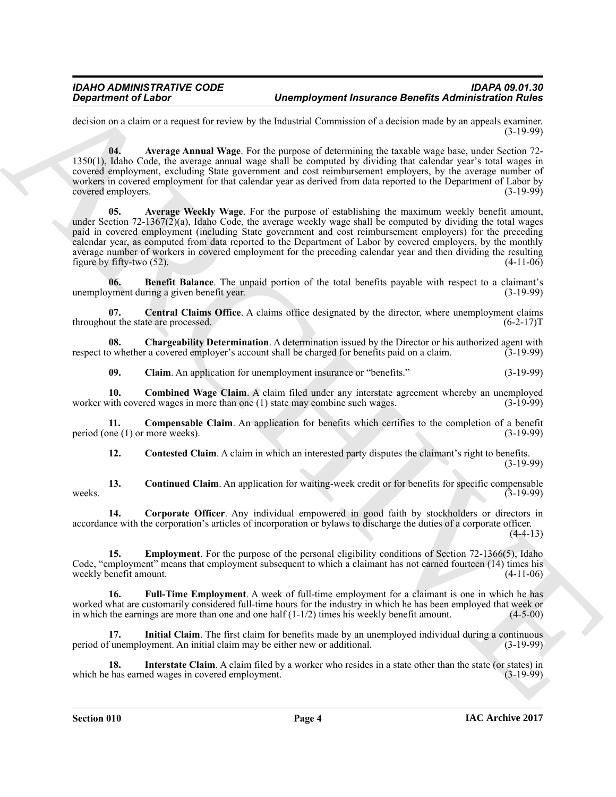decision on a claim or a request for review by the Industrial Commission of a decision made by an appeals examiner. (3-19-99)

<span id="page-3-1"></span><span id="page-3-0"></span>**04. Average Annual Wage**. For the purpose of determining the taxable wage base, under Section 72- 1350(1), Idaho Code, the average annual wage shall be computed by dividing that calendar year's total wages in covered employment, excluding State government and cost reimbursement employers, by the average number of workers in covered employment for that calendar year as derived from data reported to the Department of Labor by covered employers. (3-19-99)

**Consideration of Lineary Computer Computer insurance Benefits Administration interaction in the second of Administration interaction in the second of the second of the second of the second of the second of the second of 05. Average Weekly Wage**. For the purpose of establishing the maximum weekly benefit amount, under Section 72-1367( $2$ )(a), Idaho Code, the average weekly wage shall be computed by dividing the total wages paid in covered employment (including State government and cost reimbursement employers) for the preceding calendar year, as computed from data reported to the Department of Labor by covered employers, by the monthly average number of workers in covered employment for the preceding calendar year and then dividing the resulting figure by fifty-two  $(52)$ .  $(4-11-06)$ 

<span id="page-3-2"></span>**06. Benefit Balance**. The unpaid portion of the total benefits payable with respect to a claimant's unemployment during a given benefit year. (3-19-99)

<span id="page-3-3"></span>**07. Central Claims Office**. A claims office designated by the director, where unemployment claims throughout the state are processed.  $(6-2-17)$ T

**08. Chargeability Determination**. A determination issued by the Director or his authorized agent with respect to whether a covered employer's account shall be charged for benefits paid on a claim. (3-19-99)

<span id="page-3-6"></span><span id="page-3-5"></span><span id="page-3-4"></span>**09. Claim**. An application for unemployment insurance or "benefits." (3-19-99)

**10. Combined Wage Claim**. A claim filed under any interstate agreement whereby an unemployed vith covered wages in more than one (1) state may combine such wages. (3-19-99) worker with covered wages in more than one  $(1)$  state may combine such wages.

**11. Compensable Claim**. An application for benefits which certifies to the completion of a benefit period (one (1) or more weeks). (3-19-99)

<span id="page-3-10"></span><span id="page-3-9"></span><span id="page-3-8"></span><span id="page-3-7"></span>**12. Contested Claim**. A claim in which an interested party disputes the claimant's right to benefits. (3-19-99)

**13. Continued Claim**. An application for waiting-week credit or for benefits for specific compensable weeks.  $(3-19-99)$ 

**14. Corporate Officer**. Any individual empowered in good faith by stockholders or directors in accordance with the corporation's articles of incorporation or bylaws to discharge the duties of a corporate officer.  $(4-4-13)$ 

<span id="page-3-11"></span>**15.** Employment. For the purpose of the personal eligibility conditions of Section 72-1366(5), Idaho Code, "employment" means that employment subsequent to which a claimant has not earned fourteen (14) times his weekly benefit amount. (4-11-06) weekly benefit amount.

<span id="page-3-12"></span>**16. Full-Time Employment**. A week of full-time employment for a claimant is one in which he has worked what are customarily considered full-time hours for the industry in which he has been employed that week or in which the earnings are more than one and one half  $(1-1/2)$  times his weekly benefit amount.  $(4-5-00)$ in which the earnings are more than one and one half  $(1-1/2)$  times his weekly benefit amount.

<span id="page-3-13"></span>**17. Initial Claim**. The first claim for benefits made by an unemployed individual during a continuous period of unemployment. An initial claim may be either new or additional. (3-19-99)

<span id="page-3-14"></span>**18.** Interstate Claim. A claim filed by a worker who resides in a state other than the state (or states) in chase earned wages in covered employment. which he has earned wages in covered employment.

**Section 010 Page 4**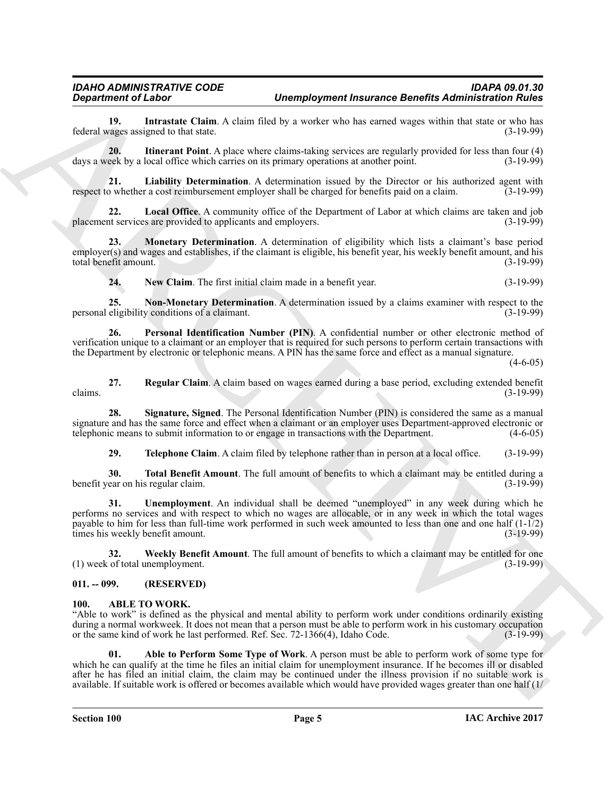<span id="page-4-4"></span>**19. Intrastate Claim**. A claim filed by a worker who has earned wages within that state or who has vages assigned to that state. federal wages assigned to that state.

<span id="page-4-5"></span>**20. Itinerant Point**. A place where claims-taking services are regularly provided for less than four (4) days a week by a local office which carries on its primary operations at another point. (3-19-99)

<span id="page-4-6"></span>**21.** Liability Determination. A determination issued by the Director or his authorized agent with powhether a cost reimbursement employer shall be charged for benefits paid on a claim. (3-19-99) respect to whether a cost reimbursement employer shall be charged for benefits paid on a claim.

<span id="page-4-7"></span>**Local Office**. A community office of the Department of Labor at which claims are taken and job s are provided to applicants and employers. (3-19-99) placement services are provided to applicants and employers.

**23. Monetary Determination**. A determination of eligibility which lists a claimant's base period employer(s) and wages and establishes, if the claimant is eligible, his benefit year, his weekly benefit amount, and his total benefit amount. (3-19-99)

<span id="page-4-11"></span><span id="page-4-10"></span><span id="page-4-9"></span><span id="page-4-8"></span>**24. New Claim**. The first initial claim made in a benefit year. (3-19-99)

**25. Non-Monetary Determination**. A determination issued by a claims examiner with respect to the eligibility conditions of a claimant. personal eligibility conditions of a claimant.

**26. Personal Identification Number (PIN)**. A confidential number or other electronic method of verification unique to a claimant or an employer that is required for such persons to perform certain transactions with the Department by electronic or telephonic means. A PIN has the same force and effect as a manual signature.

 $(4-6-05)$ 

<span id="page-4-12"></span>**27. Regular Claim**. A claim based on wages earned during a base period, excluding extended benefit claims.  $(3-19-99)$ 

**28. Signature, Signed**. The Personal Identification Number (PIN) is considered the same as a manual signature and has the same force and effect when a claimant or an employer uses Department-approved electronic or telephonic means to submit information to or engage in transactions with the Department. (4-6-05) telephonic means to submit information to or engage in transactions with the Department.

<span id="page-4-16"></span><span id="page-4-15"></span><span id="page-4-14"></span><span id="page-4-13"></span>**29. Telephone Claim**. A claim filed by telephone rather than in person at a local office. (3-19-99)

**30. Total Benefit Amount**. The full amount of benefits to which a claimant may be entitled during a ear on his regular claim. benefit year on his regular claim.

**31. Unemployment**. An individual shall be deemed "unemployed" in any week during which he performs no services and with respect to which no wages are allocable, or in any week in which the total wages payable to him for less than full-time work performed in such week amounted to less than one and one half (1-1/2) times his weekly benefit amount. (3-19-99)

<span id="page-4-17"></span>**32. Weekly Benefit Amount**. The full amount of benefits to which a claimant may be entitled for one (1) week of total unemployment. (3-19-99)

#### <span id="page-4-0"></span>**011. -- 099. (RESERVED)**

#### <span id="page-4-2"></span><span id="page-4-1"></span>**100. ABLE TO WORK.**

<span id="page-4-3"></span>"Able to work" is defined as the physical and mental ability to perform work under conditions ordinarily existing during a normal workweek. It does not mean that a person must be able to perform work in his customary occupation or the same kind of work he last performed. Ref. Sec. 72-1366(4), Idaho Code. (3-19-99)

**Considerables**<br>
Considerables (Line, A. discussion Completer insurance Benefits Administration in the set of the set of the set of the set of the set of the set of the set of the set of the set of the set of the set of t **01. Able to Perform Some Type of Work**. A person must be able to perform work of some type for which he can qualify at the time he files an initial claim for unemployment insurance. If he becomes ill or disabled after he has filed an initial claim, the claim may be continued under the illness provision if no suitable work is available. If suitable work is offered or becomes available which would have provided wages greater than one half (1/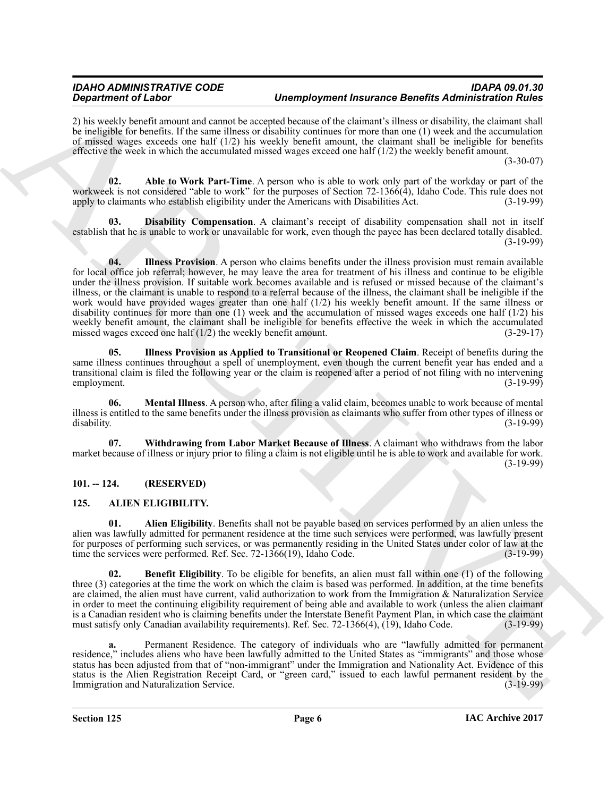2) his weekly benefit amount and cannot be accepted because of the claimant's illness or disability, the claimant shall be ineligible for benefits. If the same illness or disability continues for more than one (1) week and the accumulation of missed wages exceeds one half (1/2) his weekly benefit amount, the claimant shall be ineligible for benefits effective the week in which the accumulated missed wages exceed one half  $(1/2)$  the weekly benefit amount.

(3-30-07)

<span id="page-5-2"></span>**02. Able to Work Part-Time**. A person who is able to work only part of the workday or part of the workweek is not considered "able to work" for the purposes of Section 72-1366(4), Idaho Code. This rule does not apply to claimants who establish eligibility under the Americans with Disabilities Act. (3-19-99)

<span id="page-5-4"></span><span id="page-5-3"></span>**03. Disability Compensation**. A claimant's receipt of disability compensation shall not in itself establish that he is unable to work or unavailable for work, even though the payee has been declared totally disabled. (3-19-99)

**Constructed Calabor manner of the manner of the employment the transmitted manner of the main of the main of the employment of the main of the main of the main of the main of the main of the main of the main of the main 04. Illness Provision**. A person who claims benefits under the illness provision must remain available for local office job referral; however, he may leave the area for treatment of his illness and continue to be eligible under the illness provision. If suitable work becomes available and is refused or missed because of the claimant's illness, or the claimant is unable to respond to a referral because of the illness, the claimant shall be ineligible if the work would have provided wages greater than one half (1/2) his weekly benefit amount. If the same illness or disability continues for more than one (1) week and the accumulation of missed wages exceeds one half (1/2) his weekly benefit amount, the claimant shall be ineligible for benefits effective the week in which the accumulated missed wages exceed one half (1/2) the weekly benefit amount. (3-29-17) missed wages exceed one half  $(1/2)$  the weekly benefit amount.

<span id="page-5-5"></span>**05. Illness Provision as Applied to Transitional or Reopened Claim**. Receipt of benefits during the same illness continues throughout a spell of unemployment, even though the current benefit year has ended and a transitional claim is filed the following year or the claim is reopened after a period of not filing with no intervening employment. (3-19-99)

<span id="page-5-6"></span>**06. Mental Illness**. A person who, after filing a valid claim, becomes unable to work because of mental illness is entitled to the same benefits under the illness provision as claimants who suffer from other types of illness or disability. (3-19-99) disability. (3-19-99)

<span id="page-5-7"></span>**07. Withdrawing from Labor Market Because of Illness**. A claimant who withdraws from the labor market because of illness or injury prior to filing a claim is not eligible until he is able to work and available for work. (3-19-99)

#### <span id="page-5-0"></span>**101. -- 124. (RESERVED)**

# <span id="page-5-8"></span><span id="page-5-1"></span>**125. ALIEN ELIGIBILITY.**

<span id="page-5-9"></span>**01. Alien Eligibility**. Benefits shall not be payable based on services performed by an alien unless the alien was lawfully admitted for permanent residence at the time such services were performed, was lawfully present for purposes of performing such services, or was permanently residing in the United States under color of law at the time the services were performed. Ref. Sec. 72-1366(19), Idaho Code. (3-19-99) time the services were performed. Ref. Sec. 72-1366(19), Idaho Code.

<span id="page-5-10"></span>**02. Benefit Eligibility**. To be eligible for benefits, an alien must fall within one (1) of the following three (3) categories at the time the work on which the claim is based was performed. In addition, at the time benefits are claimed, the alien must have current, valid authorization to work from the Immigration & Naturalization Service in order to meet the continuing eligibility requirement of being able and available to work (unless the alien claimant is a Canadian resident who is claiming benefits under the Interstate Benefit Payment Plan, in which case the claimant must satisfy only Canadian availability requirements). Ref. Sec. 72-1366(4), (19), Idaho Code. (3-19-99)

**a.** Permanent Residence. The category of individuals who are "lawfully admitted for permanent residence," includes aliens who have been lawfully admitted to the United States as "immigrants" and those whose status has been adjusted from that of "non-immigrant" under the Immigration and Nationality Act. Evidence of this status is the Alien Registration Receipt Card, or "green card," issued to each lawful permanent resident by the Immigration and Naturalization Service. (3-19-99)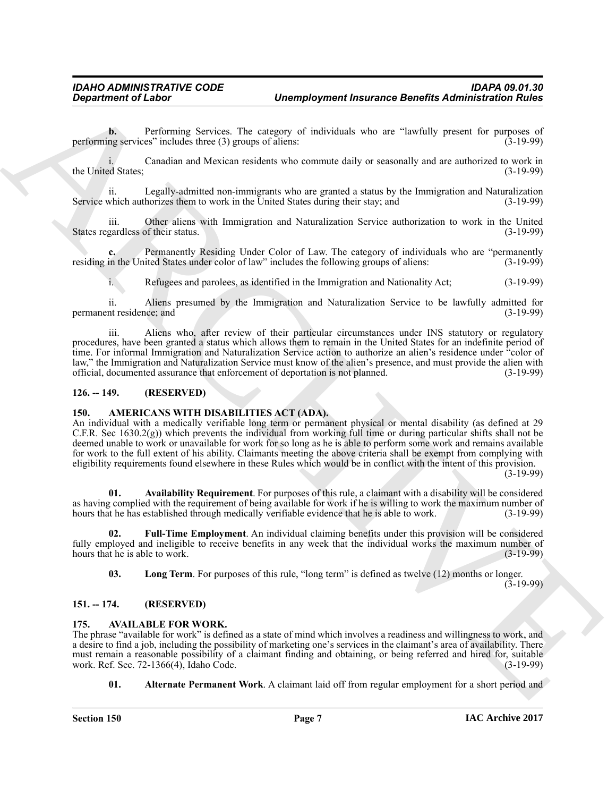**b.** Performing Services. The category of individuals who are "lawfully present for purposes of performing services" includes three (3) groups of aliens: (3-19-99)

i. Canadian and Mexican residents who commute daily or seasonally and are authorized to work in the United States; (3-19-99)

ii. Legally-admitted non-immigrants who are granted a status by the Immigration and Naturalization Service which authorizes them to work in the United States during their stay; and (3-19-99)

iii. Other aliens with Immigration and Naturalization Service authorization to work in the United States regardless of their status. (3-19-99)

Permanently Residing Under Color of Law. The category of individuals who are "permanently residing in the United States under color of law" includes the following groups of aliens: (3-19-99)

i. Refugees and parolees, as identified in the Immigration and Nationality Act; (3-19-99)

ii. Aliens presumed by the Immigration and Naturalization Service to be lawfully admitted for permanent residence; and

iii. Aliens who, after review of their particular circumstances under INS statutory or regulatory procedures, have been granted a status which allows them to remain in the United States for an indefinite period of time. For informal Immigration and Naturalization Service action to authorize an alien's residence under "color of law," the Immigration and Naturalization Service must know of the alien's presence, and must provide the alien with official, documented assurance that enforcement of deportation is not planned.

#### <span id="page-6-4"></span><span id="page-6-0"></span>**126. -- 149. (RESERVED)**

#### <span id="page-6-1"></span>**150. AMERICANS WITH DISABILITIES ACT (ADA).**

**Department of Labor<br>
Consideration** as Seven-The consequence the<br>summation of Labor Constraints and Seven-The consequence of individual<br>
polynomial service include the summation who commune daily or example) and as an<br>in An individual with a medically verifiable long term or permanent physical or mental disability (as defined at 29 C.F.R. Sec 1630.2(g)) which prevents the individual from working full time or during particular shifts shall not be deemed unable to work or unavailable for work for so long as he is able to perform some work and remains available for work to the full extent of his ability. Claimants meeting the above criteria shall be exempt from complying with eligibility requirements found elsewhere in these Rules which would be in conflict with the intent of this provision.

(3-19-99)

<span id="page-6-5"></span>**01. Availability Requirement**. For purposes of this rule, a claimant with a disability will be considered as having complied with the requirement of being available for work if he is willing to work the maximum number of hours that he has established through medically verifiable evidence that he is able to work. (3-19-99) hours that he has established through medically verifiable evidence that he is able to work.

**02. Full-Time Employment**. An individual claiming benefits under this provision will be considered fully employed and ineligible to receive benefits in any week that the individual works the maximum number of hours that he is able to work. (3-19-99) hours that he is able to work.

<span id="page-6-7"></span><span id="page-6-6"></span>**03. Long Term**. For purposes of this rule, "long term" is defined as twelve (12) months or longer.

(3-19-99)

#### <span id="page-6-2"></span>**151. -- 174. (RESERVED)**

#### <span id="page-6-8"></span><span id="page-6-3"></span>**175. AVAILABLE FOR WORK.**

The phrase "available for work" is defined as a state of mind which involves a readiness and willingness to work, and a desire to find a job, including the possibility of marketing one's services in the claimant's area of availability. There must remain a reasonable possibility of a claimant finding and obtaining, or being referred and hired for, suitable work. Ref. Sec. 72-1366(4). Idaho Code. (3-19-99) work. Ref. Sec.  $72-1366(4)$ , Idaho Code.

<span id="page-6-9"></span>**01.** Alternate Permanent Work. A claimant laid off from regular employment for a short period and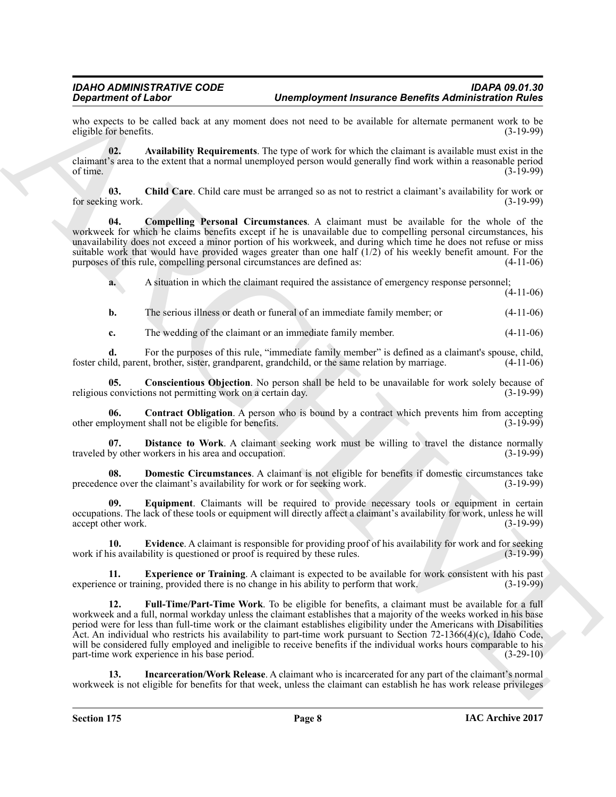who expects to be called back at any moment does not need to be available for alternate permanent work to be eligible for benefits. (3-19-99) eligible for benefits.

<span id="page-7-0"></span>**02. Availability Requirements**. The type of work for which the claimant is available must exist in the claimant's area to the extent that a normal unemployed person would generally find work within a reasonable period of time.  $(3-19-99)$ 

<span id="page-7-1"></span>**03. Child Care**. Child care must be arranged so as not to restrict a claimant's availability for work or for seeking work. (3-19-99)

<span id="page-7-2"></span>**04. Compelling Personal Circumstances**. A claimant must be available for the whole of the workweek for which he claims benefits except if he is unavailable due to compelling personal circumstances, his unavailability does not exceed a minor portion of his workweek, and during which time he does not refuse or miss suitable work that would have provided wages greater than one half (1/2) of his weekly benefit amount. For the purposes of this rule, compelling personal circumstances are defined as: (4-11-06)

**a.** A situation in which the claimant required the assistance of emergency response personnel; (4-11-06)

**b.** The serious illness or death or funeral of an immediate family member; or  $(4-11-06)$ 

<span id="page-7-3"></span>**c.** The wedding of the claimant or an immediate family member.  $(4-11-06)$ 

**d.** For the purposes of this rule, "immediate family member" is defined as a claimant's spouse, child, foster child, parent, brother, sister, grandparent, grandchild, or the same relation by marriage. (4-11-06)

**05.** Conscientious Objection. No person shall be held to be unavailable for work solely because of convictions not permitting work on a certain day. (3-19-99) religious convictions not permitting work on a certain day.

<span id="page-7-4"></span>**06. Contract Obligation**. A person who is bound by a contract which prevents him from accepting ployment shall not be eligible for benefits. (3-19-99) other employment shall not be eligible for benefits.

<span id="page-7-5"></span>**07. Distance to Work**. A claimant seeking work must be willing to travel the distance normally traveled by other workers in his area and occupation. (3-19-99)

<span id="page-7-6"></span>**08. Domestic Circumstances**. A claimant is not eligible for benefits if domestic circumstances take ce over the claimant's availability for work or for seeking work. (3-19-99) precedence over the claimant's availability for work or for seeking work.

<span id="page-7-7"></span>**09. Equipment**. Claimants will be required to provide necessary tools or equipment in certain occupations. The lack of these tools or equipment will directly affect a claimant's availability for work, unless he will accept other work. (3-19-99)

<span id="page-7-8"></span>**10. Evidence**. A claimant is responsible for providing proof of his availability for work and for seeking is availability is questioned or proof is required by these rules. (3-19-99) work if his availability is questioned or proof is required by these rules.

<span id="page-7-10"></span><span id="page-7-9"></span>**11. Experience or Training**. A claimant is expected to be available for work consistent with his past experience or training, provided there is no change in his ability to perform that work. (3-19-99)

**Decretion Cluster Channel Completer insurance Benefits Administration distribution of the control of the state of the control of the state of the state of the state of the state of the state of the state of the state of 12. Full-Time/Part-Time Work**. To be eligible for benefits, a claimant must be available for a full workweek and a full, normal workday unless the claimant establishes that a majority of the weeks worked in his base period were for less than full-time work or the claimant establishes eligibility under the Americans with Disabilities Act. An individual who restricts his availability to part-time work pursuant to Section 72-1366(4)(c), Idaho Code, will be considered fully employed and ineligible to receive benefits if the individual works hours comparable to his part-time work experience in his base period. (3-29-10)

<span id="page-7-11"></span>**13. Incarceration/Work Release**. A claimant who is incarcerated for any part of the claimant's normal workweek is not eligible for benefits for that week, unless the claimant can establish he has work release privileges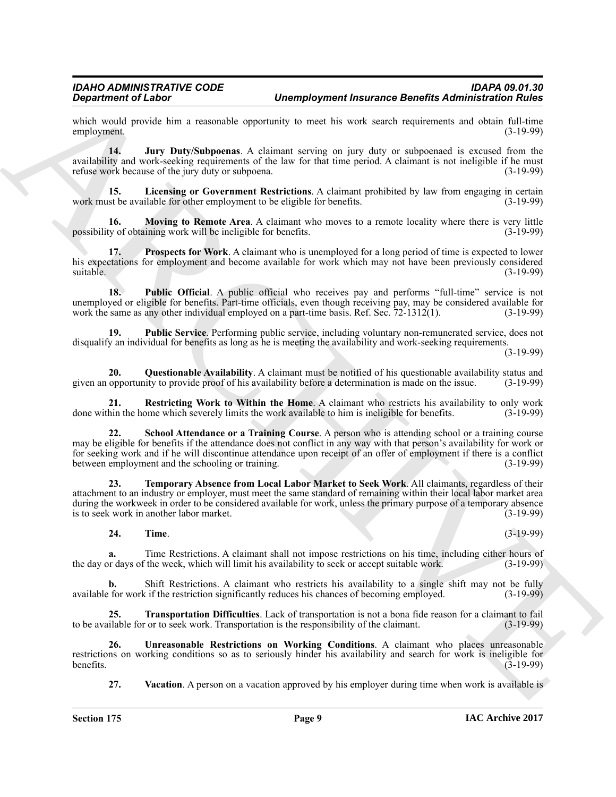which would provide him a reasonable opportunity to meet his work search requirements and obtain full-time employment. (3-19-99) employment.

<span id="page-8-0"></span>**14. Jury Duty/Subpoenas**. A claimant serving on jury duty or subpoenaed is excused from the availability and work-seeking requirements of the law for that time period. A claimant is not ineligible if he must refuse work because of the jury duty or subpoena. (3-19-99)

<span id="page-8-1"></span>**15. Licensing or Government Restrictions**. A claimant prohibited by law from engaging in certain work must be available for other employment to be eligible for benefits. (3-19-99)

<span id="page-8-2"></span>**16.** Moving to Remote Area. A claimant who moves to a remote locality where there is very little ty of obtaining work will be ineligible for benefits. (3-19-99) possibility of obtaining work will be ineligible for benefits.

<span id="page-8-3"></span>**17. Prospects for Work**. A claimant who is unemployed for a long period of time is expected to lower his expectations for employment and become available for work which may not have been previously considered suitable. (3-19-99) suitable. (3-19-99)

<span id="page-8-4"></span>**18. Public Official**. A public official who receives pay and performs "full-time" service is not unemployed or eligible for benefits. Part-time officials, even though receiving pay, may be considered available for work the same as any other individual employed on a part-time basis. Ref. Sec. 72-1312(1). (3-19-99)

<span id="page-8-5"></span>**19. Public Service**. Performing public service, including voluntary non-remunerated service, does not disqualify an individual for benefits as long as he is meeting the availability and work-seeking requirements.

(3-19-99)

<span id="page-8-6"></span>**20. Questionable Availability**. A claimant must be notified of his questionable availability status and given an opportunity to provide proof of his availability before a determination is made on the issue. (3-19-99)

<span id="page-8-7"></span>**21. Restricting Work to Within the Home**. A claimant who restricts his availability to only work done within the home which severely limits the work available to him is ineligible for benefits. (3-19-99)

<span id="page-8-8"></span>**22. School Attendance or a Training Course**. A person who is attending school or a training course may be eligible for benefits if the attendance does not conflict in any way with that person's availability for work or for seeking work and if he will discontinue attendance upon receipt of an offer of employment if there is a conflict<br>(3-19-99) (3-19-99) between employment and the schooling or training.

**Significant of Linkar C**<br> **Consider the state of the state of the state of the state of the state of the state of the state of the state<br>
complex model in the state of the state of the state of the state of the state of 23. Temporary Absence from Local Labor Market to Seek Work**. All claimants, regardless of their attachment to an industry or employer, must meet the same standard of remaining within their local labor market area during the workweek in order to be considered available for work, unless the primary purpose of a temporary absence<br>is to seek work in another labor market. (3-19-99) is to seek work in another labor market.

#### <span id="page-8-10"></span><span id="page-8-9"></span>**24. Time**. (3-19-99)

**a.** Time Restrictions. A claimant shall not impose restrictions on his time, including either hours of the day or days of the week, which will limit his availability to seek or accept suitable work. (3-19-99)

**b.** Shift Restrictions. A claimant who restricts his availability to a single shift may not be fully available for work if the restriction significantly reduces his chances of becoming employed. (3-19-99)

<span id="page-8-11"></span>**25. Transportation Difficulties**. Lack of transportation is not a bona fide reason for a claimant to fail to be available for or to seek work. Transportation is the responsibility of the claimant. (3-19-99)

**26. Unreasonable Restrictions on Working Conditions**. A claimant who places unreasonable restrictions on working conditions so as to seriously hinder his availability and search for work is ineligible for benefits. (3-19-99) benefits.  $(3-19-99)$ 

<span id="page-8-13"></span><span id="page-8-12"></span>**27.** Vacation. A person on a vacation approved by his employer during time when work is available is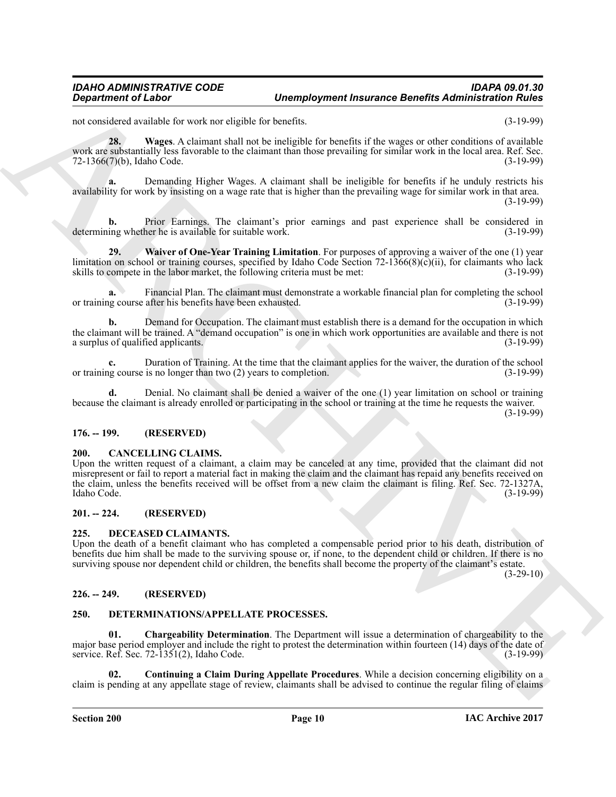not considered available for work nor eligible for benefits. (3-19-99)

<span id="page-9-6"></span>**28. Wages**. A claimant shall not be ineligible for benefits if the wages or other conditions of available work are substantially less favorable to the claimant than those prevailing for similar work in the local area. Ref. Sec. 72-1366(7)(b), Idaho Code. (3-19-99)

**a.** Demanding Higher Wages. A claimant shall be ineligible for benefits if he unduly restricts his availability for work by insisting on a wage rate that is higher than the prevailing wage for similar work in that area.

(3-19-99)

**b.** Prior Earnings. The claimant's prior earnings and past experience shall be considered in determining whether he is available for suitable work. (3-19-99)

<span id="page-9-7"></span>**29. Waiver of One-Year Training Limitation**. For purposes of approving a waiver of the one (1) year limitation on school or training courses, specified by Idaho Code Section 72-1366(8)(c)(ii), for claimants who lack skills to compete in the labor market, the following criteria must be met: (3-19-99)

**a.** Financial Plan. The claimant must demonstrate a workable financial plan for completing the school or training course after his benefits have been exhausted. (3-19-99)

**b.** Demand for Occupation. The claimant must establish there is a demand for the occupation in which the claimant will be trained. A "demand occupation" is one in which work opportunities are available and there is not a surplus of qualified applicants. (3-19-99) a surplus of qualified applicants.

**c.** Duration of Training. At the time that the claimant applies for the waiver, the duration of the school is course is no longer than two (2) years to completion. (3-19-99) or training course is no longer than two  $(2)$  years to completion.

**d.** Denial. No claimant shall be denied a waiver of the one (1) year limitation on school or training because the claimant is already enrolled or participating in the school or training at the time he requests the waiver.

(3-19-99)

#### <span id="page-9-0"></span>**176. -- 199. (RESERVED)**

#### <span id="page-9-8"></span><span id="page-9-1"></span>**200. CANCELLING CLAIMS.**

**Department of Lisbon Taxis and the engine of the state of the engine of the engine of definite and the engine of the state of the engine of the engine of the engine of the engine of the engine of the engine of the engine** Upon the written request of a claimant, a claim may be canceled at any time, provided that the claimant did not misrepresent or fail to report a material fact in making the claim and the claimant has repaid any benefits received on the claim, unless the benefits received will be offset from a new claim the claimant is filing. Ref. Sec. 72-1327A, Idaho Code. (3-19-99) Idaho Code. (3-19-99)

#### <span id="page-9-2"></span>**201. -- 224. (RESERVED)**

#### <span id="page-9-9"></span><span id="page-9-3"></span>**225. DECEASED CLAIMANTS.**

Upon the death of a benefit claimant who has completed a compensable period prior to his death, distribution of benefits due him shall be made to the surviving spouse or, if none, to the dependent child or children. If there is no surviving spouse nor dependent child or children, the benefits shall become the property of the claimant's estate.

 $(3-29-10)$ 

#### <span id="page-9-4"></span>**226. -- 249. (RESERVED)**

#### <span id="page-9-10"></span><span id="page-9-5"></span>**250. DETERMINATIONS/APPELLATE PROCESSES.**

<span id="page-9-11"></span>**01. Chargeability Determination**. The Department will issue a determination of chargeability to the major base period employer and include the right to protest the determination within fourteen (14) days of the date of service. Ref. Sec. 72-1351(2), Idaho Code. (3-19-99)

<span id="page-9-12"></span>**02. Continuing a Claim During Appellate Procedures**. While a decision concerning eligibility on a claim is pending at any appellate stage of review, claimants shall be advised to continue the regular filing of claims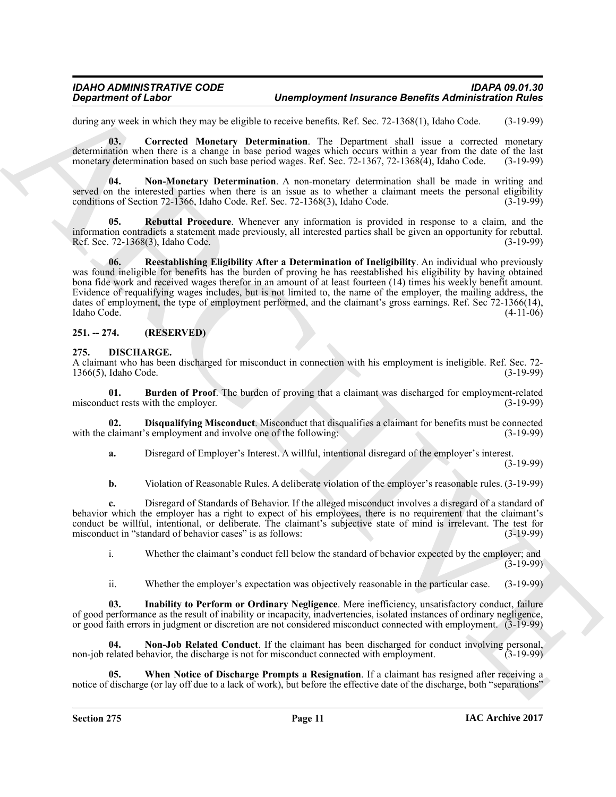during any week in which they may be eligible to receive benefits. Ref. Sec. 72-1368(1), Idaho Code. (3-19-99)

<span id="page-10-2"></span>**03. Corrected Monetary Determination**. The Department shall issue a corrected monetary determination when there is a change in base period wages which occurs within a year from the date of the last monetary determination based on such base period wages. Ref. Sec. 72-1367, 72-1368(4), Idaho Code. (3-19-99)

<span id="page-10-3"></span>**04. Non-Monetary Determination**. A non-monetary determination shall be made in writing and served on the interested parties when there is an issue as to whether a claimant meets the personal eligibility conditions of Section 72-1366, Idaho Code. Ref. Sec. 72-1368(3), Idaho Code. (3-19-99)

<span id="page-10-5"></span><span id="page-10-4"></span>**05. Rebuttal Procedure**. Whenever any information is provided in response to a claim, and the information contradicts a statement made previously, all interested parties shall be given an opportunity for rebuttal. Ref. Sec. 72-1368(3), Idaho Code.

**Department of Labor<br>
Uncomplegation in Barneton Barneton Barneton Barneton Barneton Barneton Barneton Barneton<br>
Summary Barneton Munderly Determination. The Tapacheses And Sec 2-1198(1), i.l.doc Cost 3-1199<br>
accounts are 06. Reestablishing Eligibility After a Determination of Ineligibility**. An individual who previously was found ineligible for benefits has the burden of proving he has reestablished his eligibility by having obtained bona fide work and received wages therefor in an amount of at least fourteen (14) times his weekly benefit amount. Evidence of requalifying wages includes, but is not limited to, the name of the employer, the mailing address, the dates of employment, the type of employment performed, and the claimant's gross earnings. Ref. Sec 72-1366(14), Idaho Code. (4-11-06)

### <span id="page-10-0"></span>**251. -- 274. (RESERVED)**

#### <span id="page-10-6"></span><span id="page-10-1"></span>**275. DISCHARGE.**

A claimant who has been discharged for misconduct in connection with his employment is ineligible. Ref. Sec. 72- 1366(5), Idaho Code.

<span id="page-10-7"></span>**01. Burden of Proof**. The burden of proving that a claimant was discharged for employment-related uct rests with the employer. (3-19-99) misconduct rests with the employer.

**02. Disqualifying Misconduct**. Misconduct that disqualifies a claimant for benefits must be connected claimant's employment and involve one of the following: (3-19-99) with the claimant's employment and involve one of the following:

<span id="page-10-8"></span>**a.** Disregard of Employer's Interest. A willful, intentional disregard of the employer's interest. (3-19-99)

**b.** Violation of Reasonable Rules. A deliberate violation of the employer's reasonable rules.  $(3-19-99)$ 

**c.** Disregard of Standards of Behavior. If the alleged misconduct involves a disregard of a standard of behavior which the employer has a right to expect of his employees, there is no requirement that the claimant's conduct be willful, intentional, or deliberate. The claimant's subjective state of mind is irrelevant. The test for misconduct in "standard of behavior cases" is as follows: (3-19-99)

i. Whether the claimant's conduct fell below the standard of behavior expected by the employer; and  $(3-19-99)$ 

<span id="page-10-10"></span><span id="page-10-9"></span>ii. Whether the employer's expectation was objectively reasonable in the particular case. (3-19-99)

**03. Inability to Perform or Ordinary Negligence**. Mere inefficiency, unsatisfactory conduct, failure of good performance as the result of inability or incapacity, inadvertencies, isolated instances of ordinary negligence, or good faith errors in judgment or discretion are not considered misconduct connected with employment. (3-19-99)

**04. Non-Job Related Conduct**. If the claimant has been discharged for conduct involving personal, non-job related behavior, the discharge is not for misconduct connected with employment. (3-19-99)

<span id="page-10-11"></span>**05. When Notice of Discharge Prompts a Resignation**. If a claimant has resigned after receiving a notice of discharge (or lay off due to a lack of work), but before the effective date of the discharge, both "separations"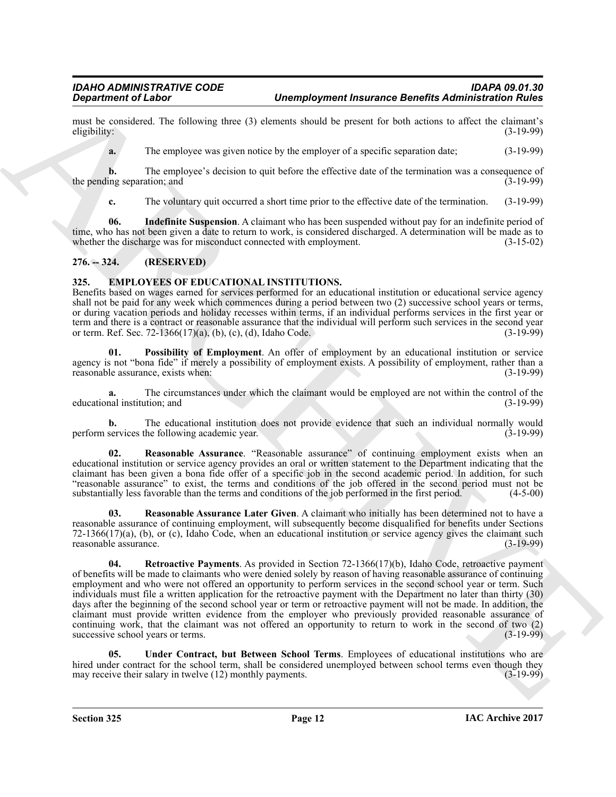must be considered. The following three (3) elements should be present for both actions to affect the claimant's eligibility: (3-19-99) eligibility: (3-19-99)

**a.** The employee was given notice by the employer of a specific separation date; (3-19-99)

**b.** The employee's decision to quit before the effective date of the termination was a consequence of ing separation; and (3-19-99) the pending separation; and

<span id="page-11-2"></span>**c.** The voluntary quit occurred a short time prior to the effective date of the termination. (3-19-99)

**06. Indefinite Suspension**. A claimant who has been suspended without pay for an indefinite period of time, who has not been given a date to return to work, is considered discharged. A determination will be made as to whether the discharge was for misconduct connected with employment. (3-15-02) whether the discharge was for misconduct connected with employment.

### <span id="page-11-0"></span>**276. -- 324. (RESERVED)**

#### <span id="page-11-3"></span><span id="page-11-1"></span>**325. EMPLOYEES OF EDUCATIONAL INSTITUTIONS.**

Benefits based on wages earned for services performed for an educational institution or educational service agency shall not be paid for any week which commences during a period between two (2) successive school years or terms, or during vacation periods and holiday recesses within terms, if an individual performs services in the first year or term and there is a contract or reasonable assurance that the individual will perform such services in the second year<br>or term. Ref. Sec. 72-1366(17)(a), (b), (c), (d), Idaho Code. or term. Ref. Sec. 72-1366(17)(a), (b), (c), (d), Idaho Code.

<span id="page-11-4"></span>**01. Possibility of Employment**. An offer of employment by an educational institution or service agency is not "bona fide" if merely a possibility of employment exists. A possibility of employment, rather than a reasonable assurance, exists when: (3-19-99) reasonable assurance, exists when:

**a.** The circumstances under which the claimant would be employed are not within the control of the nal institution; and (3-19-99) educational institution; and

**b.** The educational institution does not provide evidence that such an individual normally would perform services the following academic year. (3-19-99)

<span id="page-11-5"></span>**02. Reasonable Assurance**. "Reasonable assurance" of continuing employment exists when an educational institution or service agency provides an oral or written statement to the Department indicating that the claimant has been given a bona fide offer of a specific job in the second academic period. In addition, for such "reasonable assurance" to exist, the terms and conditions of the job offered in the second period must not be substantially less favorable than the terms and conditions of the job performed in the first period. (4-5-00)

<span id="page-11-7"></span><span id="page-11-6"></span>**03. Reasonable Assurance Later Given**. A claimant who initially has been determined not to have a reasonable assurance of continuing employment, will subsequently become disqualified for benefits under Sections 72-1366(17)(a), (b), or (c), Idaho Code, when an educational institution or service agency gives the claimant such reasonable assurance. (3-19-99)

**Signalization of Links "Complete the United States and the United States and the United States and the United States and the United States and the United States and the United States and the United States and the United 04.** Retroactive Payments. As provided in Section 72-1366(17)(b), Idaho Code, retroactive payment of benefits will be made to claimants who were denied solely by reason of having reasonable assurance of continuing employment and who were not offered an opportunity to perform services in the second school year or term. Such individuals must file a written application for the retroactive payment with the Department no later than thirty (30) days after the beginning of the second school year or term or retroactive payment will not be made. In addition, the claimant must provide written evidence from the employer who previously provided reasonable assurance of continuing work, that the claimant was not offered an opportunity to return to work in the second of two (2) successive school years or terms. (3-19-99)

<span id="page-11-8"></span>**05. Under Contract, but Between School Terms**. Employees of educational institutions who are hired under contract for the school term, shall be considered unemployed between school terms even though they<br>may receive their salary in twelve (12) monthly payments. (3-19-99) may receive their salary in twelve  $(12)$  monthly payments.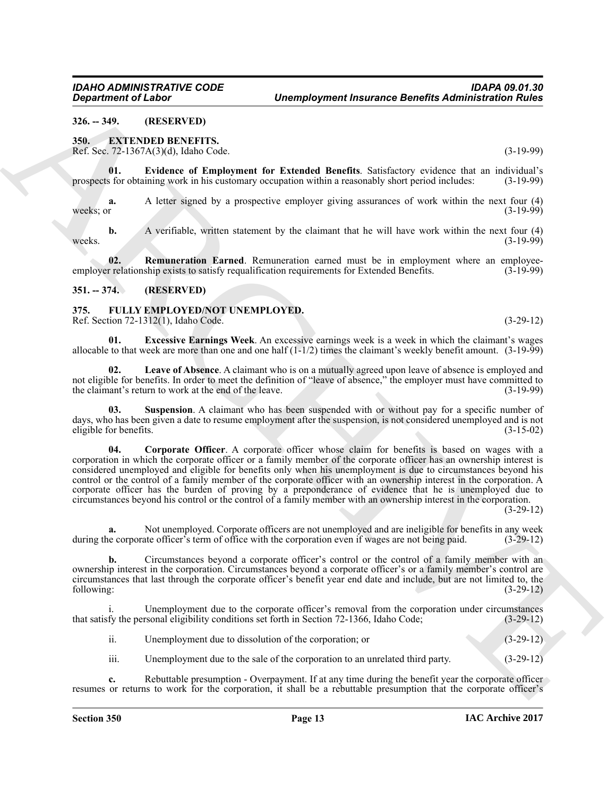<span id="page-12-0"></span>**326. -- 349. (RESERVED)**

#### <span id="page-12-4"></span><span id="page-12-1"></span>**350. EXTENDED BENEFITS.**

<span id="page-12-5"></span>Ref. Sec. 72-1367A(3)(d), Idaho Code. (3-19-99)

**01. Evidence of Employment for Extended Benefits**. Satisfactory evidence that an individual's prospects for obtaining work in his customary occupation within a reasonably short period includes:

**a.** A letter signed by a prospective employer giving assurances of work within the next four (4) weeks; or  $(3-19-99)$ 

**b.** A verifiable, written statement by the claimant that he will have work within the next four (4) weeks.  $(3-19-99)$ 

<span id="page-12-6"></span>**02. Remuneration Earned**. Remuneration earned must be in employment where an employee-<br>r relationship exists to satisfy requalification requirements for Extended Benefits. (3-19-99) employer relationship exists to satisfy requalification requirements for Extended Benefits.

#### <span id="page-12-2"></span>**351. -- 374. (RESERVED)**

# <span id="page-12-7"></span><span id="page-12-3"></span>**375. FULLY EMPLOYED/NOT UNEMPLOYED.**

Ref. Section 72-1312(1), Idaho Code. (3-29-12)

<span id="page-12-9"></span>**01. Excessive Earnings Week**. An excessive earnings week is a week in which the claimant's wages allocable to that week are more than one and one half  $(1-1/2)$  times the claimant's weekly benefit amount.  $(3-19-99)$ 

<span id="page-12-10"></span>**02. Leave of Absence**. A claimant who is on a mutually agreed upon leave of absence is employed and not eligible for benefits. In order to meet the definition of "leave of absence," the employer must have committed to the claimant's return to work at the end of the leave. (3-19-99)

<span id="page-12-11"></span><span id="page-12-8"></span>**03. Suspension**. A claimant who has been suspended with or without pay for a specific number of days, who has been given a date to resume employment after the suspension, is not considered unemployed and is not eligible for benefits. (3-15-02) eligible for benefits.

**Considered Called Construction**<br>
336. **ARCHIVE INTERFERENCE INTERFERENCE CONSIDERATION CONSIDERATION (1999)<br>
336. <b>EXPLICATION INTERFERENCE CONSIDERATION** (1999)<br>
336. **EXPLICATION INTERFERENCE CONSIDERATION** (1999)<br>
487 **04. Corporate Officer**. A corporate officer whose claim for benefits is based on wages with a corporation in which the corporate officer or a family member of the corporate officer has an ownership interest is considered unemployed and eligible for benefits only when his unemployment is due to circumstances beyond his control or the control of a family member of the corporate officer with an ownership interest in the corporation. A corporate officer has the burden of proving by a preponderance of evidence that he is unemployed due to circumstances beyond his control or the control of a family member with an ownership interest in the corporation.

(3-29-12)

**a.** Not unemployed. Corporate officers are not unemployed and are ineligible for benefits in any week during the corporate officer's term of office with the corporation even if wages are not being paid.  $(3-29-12)$ 

**b.** Circumstances beyond a corporate officer's control or the control of a family member with an ownership interest in the corporation. Circumstances beyond a corporate officer's or a family member's control are circumstances that last through the corporate officer's benefit year end date and include, but are not limited to, the following: (3-29-12)

Unemployment due to the corporate officer's removal from the corporation under circumstances resonal eligibility conditions set forth in Section 72-1366, Idaho Code; (3-29-12) that satisfy the personal eligibility conditions set forth in Section 72-1366, Idaho Code;

| ii. | Unemployment due to dissolution of the corporation; or | $(3-29-12)$ |
|-----|--------------------------------------------------------|-------------|
|     |                                                        |             |

iii. Unemployment due to the sale of the corporation to an unrelated third party. (3-29-12)

**c.** Rebuttable presumption - Overpayment. If at any time during the benefit year the corporate officer resumes or returns to work for the corporation, it shall be a rebuttable presumption that the corporate officer's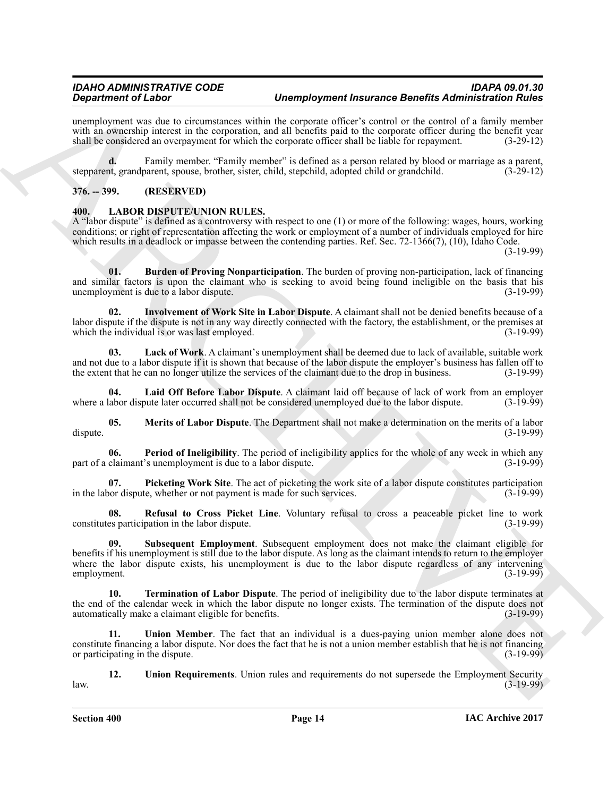unemployment was due to circumstances within the corporate officer's control or the control of a family member with an ownership interest in the corporation, and all benefits paid to the corporate officer during the benefit year shall be considered an overpayment for which the corporate officer shall be liable for repayment. (3-29-12)

**d.** Family member. "Family member" is defined as a person related by blood or marriage as a parent, stepparent, grandparent, spouse, brother, sister, child, stepchild, adopted child or grandchild. (3-29-12)

#### <span id="page-13-0"></span>**376. -- 399. (RESERVED)**

#### <span id="page-13-2"></span><span id="page-13-1"></span>**400. LABOR DISPUTE/UNION RULES.**

A "labor dispute" is defined as a controversy with respect to one (1) or more of the following: wages, hours, working conditions; or right of representation affecting the work or employment of a number of individuals employed for hire which results in a deadlock or impasse between the contending parties. Ref. Sec. 72-1366(7), (10), Idaho Code.

(3-19-99)

<span id="page-13-3"></span>**01. Burden of Proving Nonparticipation**. The burden of proving non-participation, lack of financing and similar factors is upon the claimant who is seeking to avoid being found ineligible on the basis that his unemployment is due to a labor dispute. unemployment is due to a labor dispute.

<span id="page-13-4"></span>**02. Involvement of Work Site in Labor Dispute**. A claimant shall not be denied benefits because of a labor dispute if the dispute is not in any way directly connected with the factory, the establishment, or the premises at which the individual is or was last employed. (3-19-99)

<span id="page-13-5"></span>**03. Lack of Work**. A claimant's unemployment shall be deemed due to lack of available, suitable work and not due to a labor dispute if it is shown that because of the labor dispute the employer's business has fallen off to the extent that he can no longer utilize the services of the claimant due to the drop in business. (3-19-99)

<span id="page-13-6"></span>**04. Laid Off Before Labor Dispute**. A claimant laid off because of lack of work from an employer where a labor dispute later occurred shall not be considered unemployed due to the labor dispute.

<span id="page-13-7"></span>**05. Merits of Labor Dispute**. The Department shall not make a determination on the merits of a labor (3-19-99) dispute. (3-19-99)

<span id="page-13-8"></span>**06.** Period of Ineligibility. The period of ineligibility applies for the whole of any week in which any claimant's unemployment is due to a labor dispute. (3-19-99) part of a claimant's unemployment is due to a labor dispute.

<span id="page-13-9"></span>**07. Picketing Work Site**. The act of picketing the work site of a labor dispute constitutes participation in the labor dispute, whether or not payment is made for such services. (3-19-99)

<span id="page-13-11"></span><span id="page-13-10"></span>**08. Refusal to Cross Picket Line**. Voluntary refusal to cross a peaceable picket line to work constitutes participation in the labor dispute. (3-19-99)

**Construction of Lineary interaction of Novella Department and the state of the constraint of North Construction of North Construction of North Construction of North Construction of North Construction of North Constructio 09. Subsequent Employment**. Subsequent employment does not make the claimant eligible for benefits if his unemployment is still due to the labor dispute. As long as the claimant intends to return to the employer where the labor dispute exists, his unemployment is due to the labor dispute regardless of any intervening employment. (3-19-99)

<span id="page-13-12"></span>**10. Termination of Labor Dispute**. The period of ineligibility due to the labor dispute terminates at the end of the calendar week in which the labor dispute no longer exists. The termination of the dispute does not automatically make a claimant eligible for benefits. (3-19-99) automatically make a claimant eligible for benefits.

<span id="page-13-13"></span>**11. Union Member**. The fact that an individual is a dues-paying union member alone does not constitute financing a labor dispute. Nor does the fact that he is not a union member establish that he is not financing or participating in the dispute.

<span id="page-13-14"></span>**12. Union Requirements**. Union rules and requirements do not supersede the Employment Security law. (3-19-99)

**Section 400 Page 14**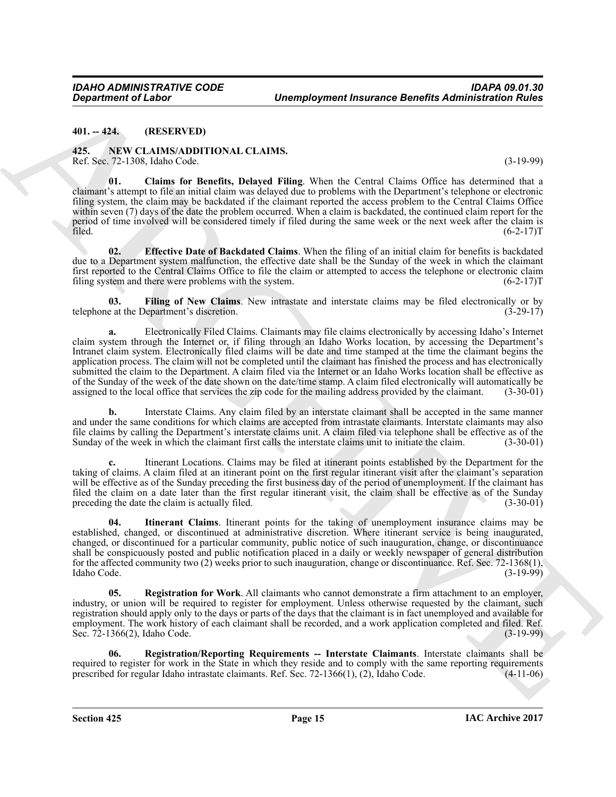#### <span id="page-14-0"></span>**401. -- 424. (RESERVED)**

#### <span id="page-14-2"></span><span id="page-14-1"></span>**425. NEW CLAIMS/ADDITIONAL CLAIMS.** Ref. Sec. 72-1308, Idaho Code. (3-19-99)

<span id="page-14-3"></span>**01. Claims for Benefits, Delayed Filing**. When the Central Claims Office has determined that a claimant's attempt to file an initial claim was delayed due to problems with the Department's telephone or electronic filing system, the claim may be backdated if the claimant reported the access problem to the Central Claims Office within seven (7) days of the date the problem occurred. When a claim is backdated, the continued claim report for the period of time involved will be considered timely if filed during the same week or the next week after the claim is filed. (6-2-17) filed.  $(6-2-17)$ T

<span id="page-14-4"></span>**02. Effective Date of Backdated Claims**. When the filing of an initial claim for benefits is backdated due to a Department system malfunction, the effective date shall be the Sunday of the week in which the claimant first reported to the Central Claims Office to file the claim or attempted to access the telephone or electronic claim filing system and there were problems with the system. (6-2-17) filing system and there were problems with the system.

<span id="page-14-5"></span>**03.** Filing of New Claims. New intrastate and interstate claims may be filed electronically or by eat the Department's discretion. (3-29-17) telephone at the Department's discretion.

**Department of Labor<br>
441.** CA: **CASSER CONTROL** CONTROL CONTROL CONTROL CONTROL CONTROL CONTROL CONTROL CONTROL CONTROL CONTROL CONTROL CONTROL CONTROL CONTROL CONTROL CONTROL CONTROL CONTROL CONTROL CONTROL CONTROL CONT **a.** Electronically Filed Claims. Claimants may file claims electronically by accessing Idaho's Internet claim system through the Internet or, if filing through an Idaho Works location, by accessing the Department's Intranet claim system. Electronically filed claims will be date and time stamped at the time the claimant begins the application process. The claim will not be completed until the claimant has finished the process and has electronically submitted the claim to the Department. A claim filed via the Internet or an Idaho Works location shall be effective as of the Sunday of the week of the date shown on the date/time stamp. A claim filed electronically will automatically be assigned to the local office that services the zip code for the mailing address provided by the claimant. (3-30-01)

**b.** Interstate Claims. Any claim filed by an interstate claimant shall be accepted in the same manner and under the same conditions for which claims are accepted from intrastate claimants. Interstate claimants may also file claims by calling the Department's interstate claims unit. A claim filed via telephone shall be effective as of the Sunday of the week in which the claimant first calls the interstate claims unit to initiate the claim Sunday of the week in which the claimant first calls the interstate claims unit to initiate the claim.

**c.** Itinerant Locations. Claims may be filed at itinerant points established by the Department for the taking of claims. A claim filed at an itinerant point on the first regular itinerant visit after the claimant's separation will be effective as of the Sunday preceding the first business day of the period of unemployment. If the claimant has filed the claim on a date later than the first regular itinerant visit, the claim shall be effective as of the Sunday preceding the date the claim is actually filed. (3-30-01) preceding the date the claim is actually filed.

<span id="page-14-6"></span>**04. Itinerant Claims**. Itinerant points for the taking of unemployment insurance claims may be established, changed, or discontinued at administrative discretion. Where itinerant service is being inaugurated, changed, or discontinued for a particular community, public notice of such inauguration, change, or discontinuance shall be conspicuously posted and public notification placed in a daily or weekly newspaper of general distribution for the affected community two (2) weeks prior to such inauguration, change or discontinuance. Ref. Sec. 72-1368(1), Idaho Code. (3-19-99)

<span id="page-14-7"></span>**05. Registration for Work**. All claimants who cannot demonstrate a firm attachment to an employer, industry, or union will be required to register for employment. Unless otherwise requested by the claimant, such registration should apply only to the days or parts of the days that the claimant is in fact unemployed and available for employment. The work history of each claimant shall be recorded, and a work application completed and filed. Ref. Sec. 72-1366(2), Idaho Code. (3-19-99)

<span id="page-14-8"></span>**06. Registration/Reporting Requirements -- Interstate Claimants**. Interstate claimants shall be required to register for work in the State in which they reside and to comply with the same reporting requirements prescribed for regular Idaho intrastate claimants. Ref. Sec. 72-1366(1), (2), Idaho Code. (4-11-06) prescribed for regular Idaho intrastate claimants. Ref. Sec.  $72-1366(1)$ ,  $(2)$ , Idaho Code.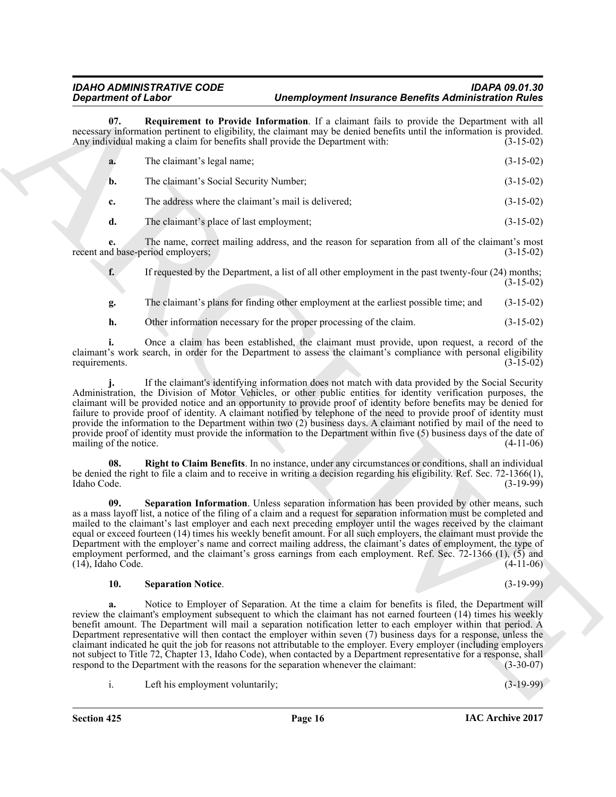<span id="page-15-0"></span>

|                          | <b>Department of Labor</b>                                                                                                                                                                                 | <b>Unemployment Insurance Benefits Administration Rules</b>                                                                                                                                                                                                                                                                                                                                                                                                                                                                                                                                                                                                                                                         |             |
|--------------------------|------------------------------------------------------------------------------------------------------------------------------------------------------------------------------------------------------------|---------------------------------------------------------------------------------------------------------------------------------------------------------------------------------------------------------------------------------------------------------------------------------------------------------------------------------------------------------------------------------------------------------------------------------------------------------------------------------------------------------------------------------------------------------------------------------------------------------------------------------------------------------------------------------------------------------------------|-------------|
| 07.                      | Any individual making a claim for benefits shall provide the Department with:                                                                                                                              | Requirement to Provide Information. If a claimant fails to provide the Department with all<br>necessary information pertinent to eligibility, the claimant may be denied benefits until the information is provided.                                                                                                                                                                                                                                                                                                                                                                                                                                                                                                | $(3-15-02)$ |
| a.                       | The claimant's legal name;                                                                                                                                                                                 |                                                                                                                                                                                                                                                                                                                                                                                                                                                                                                                                                                                                                                                                                                                     | $(3-15-02)$ |
| b.                       | The claimant's Social Security Number;                                                                                                                                                                     |                                                                                                                                                                                                                                                                                                                                                                                                                                                                                                                                                                                                                                                                                                                     | $(3-15-02)$ |
| c.                       | The address where the claimant's mail is delivered;                                                                                                                                                        |                                                                                                                                                                                                                                                                                                                                                                                                                                                                                                                                                                                                                                                                                                                     | $(3-15-02)$ |
| d.                       | The claimant's place of last employment;                                                                                                                                                                   |                                                                                                                                                                                                                                                                                                                                                                                                                                                                                                                                                                                                                                                                                                                     | $(3-15-02)$ |
| e.                       | recent and base-period employers;                                                                                                                                                                          | The name, correct mailing address, and the reason for separation from all of the claimant's most                                                                                                                                                                                                                                                                                                                                                                                                                                                                                                                                                                                                                    | $(3-15-02)$ |
| f.                       |                                                                                                                                                                                                            | If requested by the Department, a list of all other employment in the past twenty-four $(24)$ months;                                                                                                                                                                                                                                                                                                                                                                                                                                                                                                                                                                                                               | $(3-15-02)$ |
| g.                       |                                                                                                                                                                                                            | The claimant's plans for finding other employment at the earliest possible time; and                                                                                                                                                                                                                                                                                                                                                                                                                                                                                                                                                                                                                                | $(3-15-02)$ |
| h.                       | Other information necessary for the proper processing of the claim.                                                                                                                                        |                                                                                                                                                                                                                                                                                                                                                                                                                                                                                                                                                                                                                                                                                                                     | $(3-15-02)$ |
| requirements.            |                                                                                                                                                                                                            | Once a claim has been established, the claimant must provide, upon request, a record of the<br>claimant's work search, in order for the Department to assess the claimant's compliance with personal eligibility                                                                                                                                                                                                                                                                                                                                                                                                                                                                                                    | $(3-15-02)$ |
| mailing of the notice.   |                                                                                                                                                                                                            | If the claimant's identifying information does not match with data provided by the Social Security<br>Administration, the Division of Motor Vehicles, or other public entities for identity verification purposes, the<br>claimant will be provided notice and an opportunity to provide proof of identity before benefits may be denied for<br>failure to provide proof of identity. A claimant notified by telephone of the need to provide proof of identity must<br>provide the information to the Department within two (2) business days. A claimant notified by mail of the need to<br>provide proof of identity must provide the information to the Department within five (5) business days of the date of | $(4-11-06)$ |
| 08.<br>Idaho Code.       |                                                                                                                                                                                                            | Right to Claim Benefits. In no instance, under any circumstances or conditions, shall an individual<br>be denied the right to file a claim and to receive in writing a decision regarding his eligibility. Ref. Sec. 72-1366(1),                                                                                                                                                                                                                                                                                                                                                                                                                                                                                    | $(3-19-99)$ |
| 09.<br>(14), Idaho Code. |                                                                                                                                                                                                            | Separation Information. Unless separation information has been provided by other means, such<br>as a mass layoff list, a notice of the filing of a claim and a request for separation information must be completed and<br>mailed to the claimant's last employer and each next preceding employer until the wages received by the claimant<br>equal or exceed fourteen (14) times his weekly benefit amount. For all such employers, the claimant must provide the<br>Department with the employer's name and correct mailing address, the claimant's dates of employment, the type of<br>employment performed, and the claimant's gross earnings from each employment. Ref. Sec. $72-1366$ (1), $(5)$ and         | $(4-11-06)$ |
| 10.                      | <b>Separation Notice.</b>                                                                                                                                                                                  |                                                                                                                                                                                                                                                                                                                                                                                                                                                                                                                                                                                                                                                                                                                     | $(3-19-99)$ |
| a.                       |                                                                                                                                                                                                            | Notice to Employer of Separation. At the time a claim for benefits is filed, the Department will<br>review the claimant's employment subsequent to which the claimant has not earned fourteen (14) times his weekly<br>benefit amount. The Department will mail a separation notification letter to each employer within that period. A                                                                                                                                                                                                                                                                                                                                                                             |             |
|                          | Department representative will then contact the employer within seven (7) business days for a response, unless the<br>respond to the Department with the reasons for the separation whenever the claimant: | claimant indicated he quit the job for reasons not attributable to the employer. Every employer (including employers<br>not subject to Title 72, Chapter 13, Idaho Code), when contacted by a Department representative for a response, shall                                                                                                                                                                                                                                                                                                                                                                                                                                                                       | $(3-30-07)$ |

#### <span id="page-15-3"></span><span id="page-15-2"></span><span id="page-15-1"></span>**10. Separation Notice**. (3-19-99)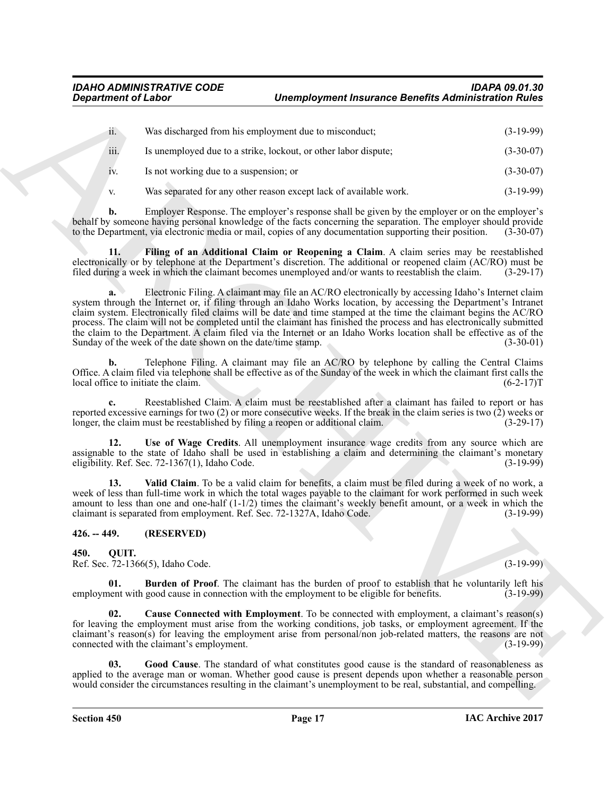<span id="page-16-2"></span>

| <b>Department of Labor</b> |                                                              | <b>Unemployment Insurance Benefits Administration Rules</b>                                                                                                                                                                                                                                                                                                                                                                                                                                                                                                                                  |                                                                                                             |  |
|----------------------------|--------------------------------------------------------------|----------------------------------------------------------------------------------------------------------------------------------------------------------------------------------------------------------------------------------------------------------------------------------------------------------------------------------------------------------------------------------------------------------------------------------------------------------------------------------------------------------------------------------------------------------------------------------------------|-------------------------------------------------------------------------------------------------------------|--|
| ii.                        |                                                              | Was discharged from his employment due to misconduct;                                                                                                                                                                                                                                                                                                                                                                                                                                                                                                                                        | $(3-19-99)$                                                                                                 |  |
| iii.                       |                                                              | Is unemployed due to a strike, lockout, or other labor dispute;                                                                                                                                                                                                                                                                                                                                                                                                                                                                                                                              | $(3-30-07)$                                                                                                 |  |
| 1V.                        | Is not working due to a suspension; or                       |                                                                                                                                                                                                                                                                                                                                                                                                                                                                                                                                                                                              | $(3-30-07)$                                                                                                 |  |
| V.                         |                                                              | Was separated for any other reason except lack of available work.                                                                                                                                                                                                                                                                                                                                                                                                                                                                                                                            | $(3-19-99)$                                                                                                 |  |
| b.                         |                                                              | Employer Response. The employer's response shall be given by the employer or on the employer's<br>behalf by someone having personal knowledge of the facts concerning the separation. The employer should provide<br>to the Department, via electronic media or mail, copies of any documentation supporting their position.                                                                                                                                                                                                                                                                 | $(3-30-07)$                                                                                                 |  |
| 11.                        |                                                              | Filing of an Additional Claim or Reopening a Claim. A claim series may be reestablished<br>electronically or by telephone at the Department's discretion. The additional or reopened claim (AC/RO) must be<br>filed during a week in which the claimant becomes unemployed and/or wants to reestablish the claim.                                                                                                                                                                                                                                                                            | $(3-29-17)$                                                                                                 |  |
|                            | Sunday of the week of the date shown on the date/time stamp. | Electronic Filing. A claimant may file an AC/RO electronically by accessing Idaho's Internet claim<br>system through the Internet or, if filing through an Idaho Works location, by accessing the Department's Intranet<br>claim system. Electronically filed claims will be date and time stamped at the time the claimant begins the AC/RO<br>process. The claim will not be completed until the claimant has finished the process and has electronically submitted<br>the claim to the Department. A claim filed via the Internet or an Idaho Works location shall be effective as of the | $(3-30-01)$                                                                                                 |  |
| b.                         | local office to initiate the claim.                          | Telephone Filing. A claimant may file an AC/RO by telephone by calling the Central Claims<br>Office. A claim filed via telephone shall be effective as of the Sunday of the week in which the claimant first calls the                                                                                                                                                                                                                                                                                                                                                                       | $(6-2-17)T$                                                                                                 |  |
| c.                         |                                                              | Reestablished Claim. A claim must be reestablished after a claimant has failed to report or has<br>reported excessive earnings for two $(2)$ or more consecutive weeks. If the break in the claim series is two $(2)$ weeks or<br>longer, the claim must be reestablished by filing a reopen or additional claim.                                                                                                                                                                                                                                                                            | $(3-29-17)$                                                                                                 |  |
| 12.                        | eligibility. Ref. Sec. 72-1367(1), Idaho Code.               | Use of Wage Credits. All unemployment insurance wage credits from any source which are<br>assignable to the state of Idaho shall be used in establishing a claim and determining the claimant's monetary                                                                                                                                                                                                                                                                                                                                                                                     | $(3-19-99)$                                                                                                 |  |
| 13.                        |                                                              | Valid Claim. To be a valid claim for benefits, a claim must be filed during a week of no work, a<br>week of less than full-time work in which the total wages payable to the claimant for work performed in such week<br>amount to less than one and one-half $(1-1/2)$ times the claimant's weekly benefit amount, or a week in which the<br>claimant is separated from employment. Ref. Sec. 72-1327A, Idaho Code.                                                                                                                                                                         | $(3-19-99)$                                                                                                 |  |
| $426. - 449.$              | (RESERVED)                                                   |                                                                                                                                                                                                                                                                                                                                                                                                                                                                                                                                                                                              |                                                                                                             |  |
| 450.<br>OUIT.              | Ref. Sec. 72-1366(5), Idaho Code.                            |                                                                                                                                                                                                                                                                                                                                                                                                                                                                                                                                                                                              | $(3-19-99)$                                                                                                 |  |
| 01.                        |                                                              | <b>Burden of Proof.</b> The claimant has the burden of proof to establish that he voluntarily left his<br>employment with good cause in connection with the employment to be eligible for benefits.                                                                                                                                                                                                                                                                                                                                                                                          | $(3-19-99)$                                                                                                 |  |
| 02.                        | connected with the claimant's employment.                    | Cause Connected with Employment. To be connected with employment, a claimant's reason(s)<br>for leaving the employment must arise from the working conditions, job tasks, or employment agreement. If the<br>claimant's reason(s) for leaving the employment arise from personal/non job-related matters, the reasons are not                                                                                                                                                                                                                                                                | $(3-19-99)$                                                                                                 |  |
| 03.                        |                                                              | Good Cause. The standard of what constitutes good cause is the standard of reasonableness as                                                                                                                                                                                                                                                                                                                                                                                                                                                                                                 | applied to the average man or woman. Whether good cause is present depends upon whether a reasonable person |  |

#### <span id="page-16-8"></span><span id="page-16-7"></span><span id="page-16-6"></span><span id="page-16-5"></span><span id="page-16-4"></span><span id="page-16-3"></span><span id="page-16-1"></span><span id="page-16-0"></span>**426. -- 449. (RESERVED)**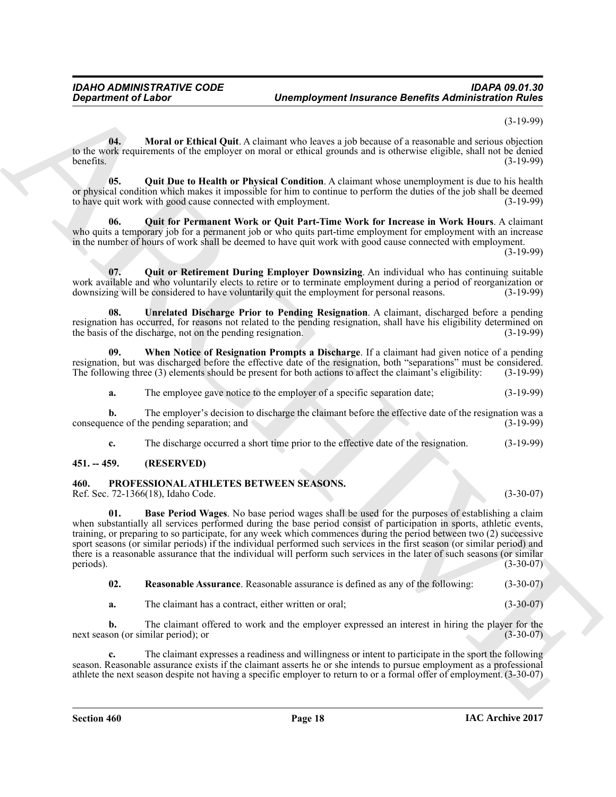(3-19-99)

<span id="page-17-5"></span>**04. Moral or Ethical Quit**. A claimant who leaves a job because of a reasonable and serious objection to the work requirements of the employer on moral or ethical grounds and is otherwise eligible, shall not be denied benefits. (3-19-99)

<span id="page-17-6"></span>**05. Quit Due to Health or Physical Condition**. A claimant whose unemployment is due to his health or physical condition which makes it impossible for him to continue to perform the duties of the job shall be deemed to have quit work with good cause connected with employment. (3-19-99)

<span id="page-17-7"></span>**06. Quit for Permanent Work or Quit Part-Time Work for Increase in Work Hours**. A claimant who quits a temporary job for a permanent job or who quits part-time employment for employment with an increase in the number of hours of work shall be deemed to have quit work with good cause connected with employment.

(3-19-99)

<span id="page-17-8"></span>**07. Quit or Retirement During Employer Downsizing**. An individual who has continuing suitable work available and who voluntarily elects to retire or to terminate employment during a period of reorganization or downsizing will be considered to have voluntarily quit the employment for personal reasons. (3-19-99)

<span id="page-17-9"></span>**08. Unrelated Discharge Prior to Pending Resignation**. A claimant, discharged before a pending resignation has occurred, for reasons not related to the pending resignation, shall have his eligibility determined on the basis of the discharge, not on the pending resignation. (3-19-99) the basis of the discharge, not on the pending resignation.

**09. When Notice of Resignation Prompts a Discharge**. If a claimant had given notice of a pending resignation, but was discharged before the effective date of the resignation, both "separations" must be considered.<br>The following three (3) elements should be present for both actions to affect the claimant's eligibility: The following three  $(3)$  elements should be present for both actions to affect the claimant's eligibility:

<span id="page-17-10"></span>**a.** The employee gave notice to the employer of a specific separation date;  $(3-19-99)$ 

**b.** The employer's decision to discharge the claimant before the effective date of the resignation was a ence of the pending separation; and (3-19-99) consequence of the pending separation; and

<span id="page-17-2"></span>**c.** The discharge occurred a short time prior to the effective date of the resignation. (3-19-99)

#### <span id="page-17-0"></span>**451. -- 459. (RESERVED)**

#### <span id="page-17-1"></span>**460. PROFESSIONAL ATHLETES BETWEEN SEASONS.**

<span id="page-17-3"></span>Ref. Sec. 72-1366(18), Idaho Code. (3-30-07)

**Department of Labor<br>
Like Marchive Think Collins are considerated by the Samuel of Laboratory (2018)<br>
Solicit and March 2018 (March 2018) (Solicit and Collins and Collins and Collins and Collins and Collins and Collins a 01. Base Period Wages**. No base period wages shall be used for the purposes of establishing a claim when substantially all services performed during the base period consist of participation in sports, athletic events, training, or preparing to so participate, for any week which commences during the period between two (2) successive sport seasons (or similar periods) if the individual performed such services in the first season (or similar period) and there is a reasonable assurance that the individual will perform such services in the later of such seasons (or similar periods).  $(3-30-07)$ 

<span id="page-17-4"></span>**02. Reasonable Assurance**. Reasonable assurance is defined as any of the following: (3-30-07)

**a.** The claimant has a contract, either written or oral; (3-30-07)

**b.** The claimant offered to work and the employer expressed an interest in hiring the player for the next season (or similar period); or (3-30-07)

**c.** The claimant expresses a readiness and willingness or intent to participate in the sport the following season. Reasonable assurance exists if the claimant asserts he or she intends to pursue employment as a professional athlete the next season despite not having a specific employer to return to or a formal offer of employment. (3-30-07)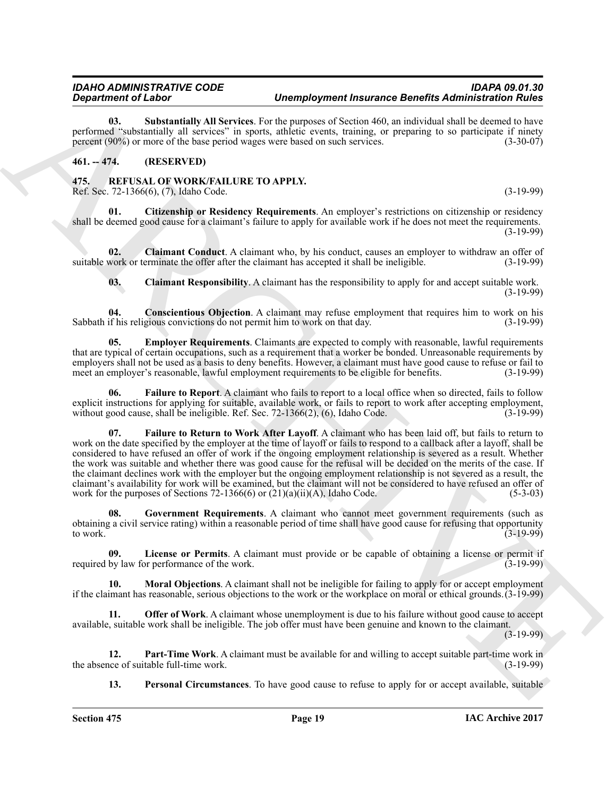<span id="page-18-2"></span>**03. Substantially All Services**. For the purposes of Section 460, an individual shall be deemed to have performed "substantially all services" in sports, athletic events, training, or preparing to so participate if ninety percent (90%) or more of the base period wages were based on such services. (3-30-07)

### <span id="page-18-0"></span>**461. -- 474. (RESERVED)**

#### <span id="page-18-3"></span><span id="page-18-1"></span>**475. REFUSAL OF WORK/FAILURE TO APPLY.** Ref. Sec. 72-1366(6), (7), Idaho Code. (3-19-99)

<span id="page-18-4"></span>**01. Citizenship or Residency Requirements**. An employer's restrictions on citizenship or residency shall be deemed good cause for a claimant's failure to apply for available work if he does not meet the requirements. (3-19-99)

**02. Claimant Conduct**. A claimant who, by his conduct, causes an employer to withdraw an offer of suitable work or terminate the offer after the claimant has accepted it shall be ineligible. (3-19-99)

<span id="page-18-8"></span><span id="page-18-7"></span><span id="page-18-6"></span><span id="page-18-5"></span>**03. Claimant Responsibility**. A claimant has the responsibility to apply for and accept suitable work. (3-19-99)

**04. Conscientious Objection**. A claimant may refuse employment that requires him to work on his Sabbath if his religious convictions do not permit him to work on that day. (3-19-99)

**05. Employer Requirements**. Claimants are expected to comply with reasonable, lawful requirements that are typical of certain occupations, such as a requirement that a worker be bonded. Unreasonable requirements by employers shall not be used as a basis to deny benefits. However, a claimant must have good cause to refuse or fail to meet an employer's reasonable, lawful employment requirements to be eligible for benefits. (3-19-99) meet an employer's reasonable, lawful employment requirements to be eligible for benefits.

<span id="page-18-10"></span><span id="page-18-9"></span>**06. Failure to Report**. A claimant who fails to report to a local office when so directed, fails to follow explicit instructions for applying for suitable, available work, or fails to report to work after accepting employment, without good cause, shall be ineligible. Ref. Sec.  $72-1366(2)$ ,  $(6)$ , Idaho Code.  $(3-19-99)$ 

*Department of Linear Contents of Department Associates of Department Associates Contents and the interest of Linear Systems (2008)***<br>
The contents of the interest of the interest of the interest of the interest of the in 07. Failure to Return to Work After Layoff**. A claimant who has been laid off, but fails to return to work on the date specified by the employer at the time of layoff or fails to respond to a callback after a layoff, shall be considered to have refused an offer of work if the ongoing employment relationship is severed as a result. Whether the work was suitable and whether there was good cause for the refusal will be decided on the merits of the case. If the claimant declines work with the employer but the ongoing employment relationship is not severed as a result, the claimant's availability for work will be examined, but the claimant will not be considered to have refused an offer of work for the purposes of Sections  $72-1366(6)$  or  $(21)(a)(ii)(A)$ , Idaho Code. (5-3-03)

<span id="page-18-11"></span>**08. Government Requirements**. A claimant who cannot meet government requirements (such as obtaining a civil service rating) within a reasonable period of time shall have good cause for refusing that opportunity to work.  $(3-19-99)$ 

<span id="page-18-12"></span>**09.** License or Permits. A claimant must provide or be capable of obtaining a license or permit if by law for performance of the work.  $(3-19-99)$ required by law for performance of the work.

<span id="page-18-13"></span>**10. Moral Objections**. A claimant shall not be ineligible for failing to apply for or accept employment if the claimant has reasonable, serious objections to the work or the workplace on moral or ethical grounds.(3-19-99)

<span id="page-18-14"></span>**11. Offer of Work**. A claimant whose unemployment is due to his failure without good cause to accept available, suitable work shall be ineligible. The job offer must have been genuine and known to the claimant.

(3-19-99)

**12. Part-Time Work**. A claimant must be available for and willing to accept suitable part-time work in the of suitable full-time work. the absence of suitable full-time work.

<span id="page-18-16"></span><span id="page-18-15"></span>**13. Personal Circumstances**. To have good cause to refuse to apply for or accept available, suitable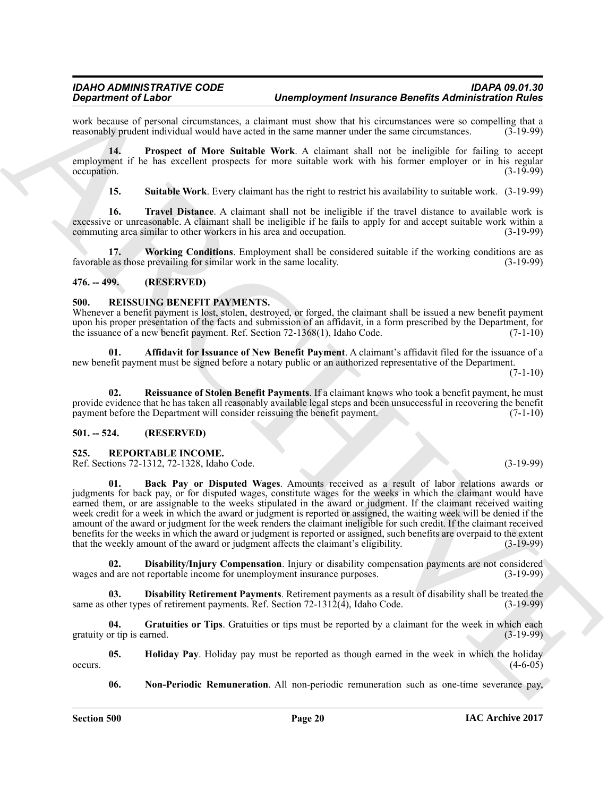work because of personal circumstances, a claimant must show that his circumstances were so compelling that a reasonably prudent individual would have acted in the same manner under the same circumstances. (3-19-99) reasonably prudent individual would have acted in the same manner under the same circumstances.

**14. Prospect of More Suitable Work**. A claimant shall not be ineligible for failing to accept employment if he has excellent prospects for more suitable work with his former employer or in his regular  $\alpha$  occupation.  $(3-19-99)$ 

<span id="page-19-7"></span><span id="page-19-6"></span><span id="page-19-5"></span><span id="page-19-4"></span>**15. Suitable Work**. Every claimant has the right to restrict his availability to suitable work. (3-19-99)

**16. Travel Distance**. A claimant shall not be ineligible if the travel distance to available work is excessive or unreasonable. A claimant shall be ineligible if he fails to apply for and accept suitable work within a commuting area similar to other workers in his area and occupation. (3-19-99)

**17. Working Conditions**. Employment shall be considered suitable if the working conditions are as favorable as those prevailing for similar work in the same locality. (3-19-99)

#### <span id="page-19-0"></span>**476. -- 499. (RESERVED)**

#### <span id="page-19-8"></span><span id="page-19-1"></span>**500. REISSUING BENEFIT PAYMENTS.**

Whenever a benefit payment is lost, stolen, destroyed, or forged, the claimant shall be issued a new benefit payment upon his proper presentation of the facts and submission of an affidavit, in a form prescribed by the Department, for<br>the issuance of a new benefit payment. Ref. Section 72-1368(1), Idaho Code. (7-1-10) the issuance of a new benefit payment. Ref. Section  $72-1368(1)$ , Idaho Code.

<span id="page-19-9"></span>**01. Affidavit for Issuance of New Benefit Payment**. A claimant's affidavit filed for the issuance of a new benefit payment must be signed before a notary public or an authorized representative of the Department.

 $(7-1-10)$ 

<span id="page-19-10"></span>**02. Reissuance of Stolen Benefit Payments**. If a claimant knows who took a benefit payment, he must provide evidence that he has taken all reasonably available legal steps and been unsuccessful in recovering the benefit payment before the Department will consider reissuing the benefit payment. (7-1-10)

#### <span id="page-19-2"></span>**501. -- 524. (RESERVED)**

#### <span id="page-19-11"></span><span id="page-19-3"></span>**525. REPORTABLE INCOME.**

<span id="page-19-12"></span>Ref. Sections 72-1312, 72-1328, Idaho Code. (3-19-99)

**Solution of Liestary Constant and the system of the transformation of the system of the system of the system of the system of the system of the system of the system of the system of the system of the system of the system 01. Back Pay or Disputed Wages**. Amounts received as a result of labor relations awards or judgments for back pay, or for disputed wages, constitute wages for the weeks in which the claimant would have earned them, or are assignable to the weeks stipulated in the award or judgment. If the claimant received waiting week credit for a week in which the award or judgment is reported or assigned, the waiting week will be denied if the amount of the award or judgment for the week renders the claimant ineligible for such credit. If the claimant received benefits for the weeks in which the award or judgment is reported or assigned, such benefits are overpaid to the extent that the weekly amount of the award or judgment affects the claimant's eligibility. (3-19-99)

<span id="page-19-14"></span>**02. Disability/Injury Compensation**. Injury or disability compensation payments are not considered and are not reportable income for unemployment insurance purposes. (3-19-99) wages and are not reportable income for unemployment insurance purposes.

<span id="page-19-13"></span>**Disability Retirement Payments**. Retirement payments as a result of disability shall be treated the es of retirement payments. Ref. Section 72-1312(4), Idaho Code. (3-19-99) same as other types of retirement payments. Ref. Section  $72-1312(4)$ , Idaho Code.

<span id="page-19-15"></span>**04. Gratuities or Tips**. Gratuities or tips must be reported by a claimant for the week in which each gratuity or tip is earned. (3-19-99)

**05. Holiday Pay**. Holiday pay must be reported as though earned in the week in which the holiday occurs.  $(4-6-05)$ 

<span id="page-19-17"></span><span id="page-19-16"></span>**06. Non-Periodic Remuneration**. All non-periodic remuneration such as one-time severance pay,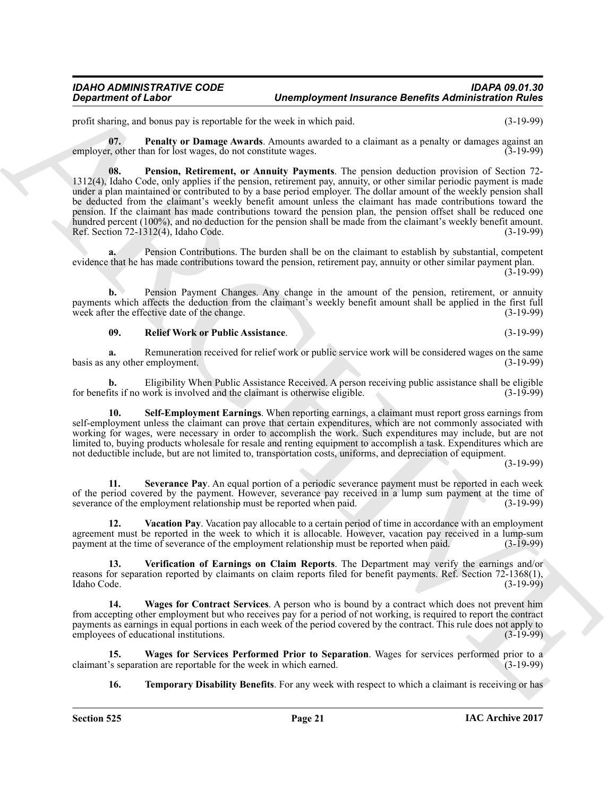<span id="page-20-0"></span>profit sharing, and bonus pay is reportable for the week in which paid. (3-19-99)

<span id="page-20-1"></span>**07. Penalty or Damage Awards**. Amounts awarded to a claimant as a penalty or damages against an exercicle in the response of  $(3-19-99)$ employer, other than for lost wages, do not constitute wages.

**Department of Labor<br>
20. Undergrade the state and the state and the state and the state and the state and the state and the state and the state and the state of the state and the state of the state and the state of the s 08. Pension, Retirement, or Annuity Payments**. The pension deduction provision of Section 72- 1312(4), Idaho Code, only applies if the pension, retirement pay, annuity, or other similar periodic payment is made under a plan maintained or contributed to by a base period employer. The dollar amount of the weekly pension shall be deducted from the claimant's weekly benefit amount unless the claimant has made contributions toward the pension. If the claimant has made contributions toward the pension plan, the pension offset shall be reduced one hundred percent (100%), and no deduction for the pension shall be made from the claimant's weekly benefit amount. Ref. Section 72-1312(4), Idaho Code. (3-19-99)

**a.** Pension Contributions. The burden shall be on the claimant to establish by substantial, competent evidence that he has made contributions toward the pension, retirement pay, annuity or other similar payment plan.

 $(3-19-99)$ 

**b.** Pension Payment Changes. Any change in the amount of the pension, retirement, or annuity payments which affects the deduction from the claimant's weekly benefit amount shall be applied in the first full week after the effective date of the change. (3-19-99)

#### <span id="page-20-2"></span>**09. Relief Work or Public Assistance**. (3-19-99)

**a.** Remuneration received for relief work or public service work will be considered wages on the same basis as any other employment. (3-19-99)

**b.** Eligibility When Public Assistance Received. A person receiving public assistance shall be eligible fits if no work is involved and the claimant is otherwise eligible. (3-19-99) for benefits if no work is involved and the claimant is otherwise eligible.

<span id="page-20-3"></span>**10. Self-Employment Earnings**. When reporting earnings, a claimant must report gross earnings from self-employment unless the claimant can prove that certain expenditures, which are not commonly associated with working for wages, were necessary in order to accomplish the work. Such expenditures may include, but are not limited to, buying products wholesale for resale and renting equipment to accomplish a task. Expenditures which are not deductible include, but are not limited to, transportation costs, uniforms, and depreciation of equipment.

(3-19-99)

<span id="page-20-4"></span>**11. Severance Pay**. An equal portion of a periodic severance payment must be reported in each week of the period covered by the payment. However, severance pay received in a lump sum payment at the time of severance of the employment relationship must be reported when paid. (3-19-99)

<span id="page-20-6"></span>**12. Vacation Pay**. Vacation pay allocable to a certain period of time in accordance with an employment agreement must be reported in the week to which it is allocable. However, vacation pay received in a lump-sum payment at the time of severance of the employment relationship must be reported when paid. (3-19-99)

<span id="page-20-7"></span>**13. Verification of Earnings on Claim Reports**. The Department may verify the earnings and/or reasons for separation reported by claimants on claim reports filed for benefit payments. Ref. Section 72-1368(1), Idaho Code. (3-19-99)

<span id="page-20-8"></span>**14. Wages for Contract Services**. A person who is bound by a contract which does not prevent him from accepting other employment but who receives pay for a period of not working, is required to report the contract payments as earnings in equal portions in each week of the period covered by the contract. This rule does not apply to employees of educational institutions. (3-19-99)

**15. Wages for Services Performed Prior to Separation**. Wages for services performed prior to a claimant's separation are reportable for the week in which earned.

<span id="page-20-9"></span><span id="page-20-5"></span>**16. Temporary Disability Benefits**. For any week with respect to which a claimant is receiving or has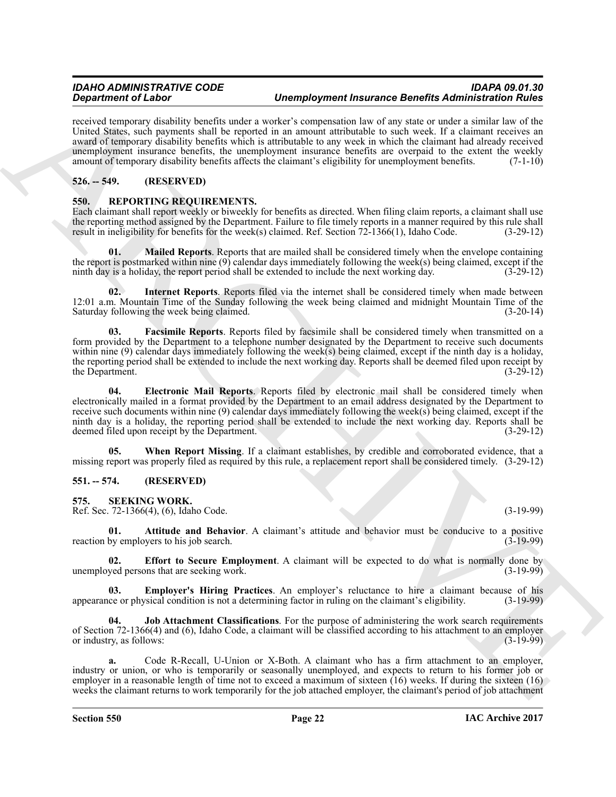received temporary disability benefits under a worker's compensation law of any state or under a similar law of the United States, such payments shall be reported in an amount attributable to such week. If a claimant receives an award of temporary disability benefits which is attributable to any week in which the claimant had already received unemployment insurance benefits, the unemployment insurance benefits are overpaid to the extent the weekly amount of temporary disability benefits affects the claimant's eligibility for unemployment benefits. (7-1-10)

# <span id="page-21-0"></span>**526. -- 549. (RESERVED)**

### <span id="page-21-4"></span><span id="page-21-1"></span>**550. REPORTING REQUIREMENTS.**

Each claimant shall report weekly or biweekly for benefits as directed. When filing claim reports, a claimant shall use the reporting method assigned by the Department. Failure to file timely reports in a manner required by this rule shall result in ineligibility for benefits for the week(s) claimed. Ref. Section 72-1366(1), Idaho Code. (3-29-12)

<span id="page-21-8"></span>**01. Mailed Reports**. Reports that are mailed shall be considered timely when the envelope containing the report is postmarked within nine (9) calendar days immediately following the week(s) being claimed, except if the ninth day is a holiday, the report period shall be extended to include the next working day.  $(3-29-12)$ ninth day is a holiday, the report period shall be extended to include the next working day.

<span id="page-21-7"></span>**02. Internet Reports**. Reports filed via the internet shall be considered timely when made between 12:01 a.m. Mountain Time of the Sunday following the week being claimed and midnight Mountain Time of the Saturday following the week being claimed. Saturday following the week being claimed.

<span id="page-21-6"></span><span id="page-21-5"></span>**03. Facsimile Reports**. Reports filed by facsimile shall be considered timely when transmitted on a form provided by the Department to a telephone number designated by the Department to receive such documents within nine (9) calendar days immediately following the week(s) being claimed, except if the ninth day is a holiday, the reporting period shall be extended to include the next working day. Reports shall be deemed filed upon receipt by the Department.  $(3-29-12)$ 

Graduation of Linkary interesting the transformed interesting the state of the state of the state of the state of the state of the state of the state of the state of the state of the state of the state of the state of the **04. Electronic Mail Reports**. Reports filed by electronic mail shall be considered timely when electronically mailed in a format provided by the Department to an email address designated by the Department to receive such documents within nine (9) calendar days immediately following the week(s) being claimed, except if the ninth day is a holiday, the reporting period shall be extended to include the next working day. Reports shall be deemed filed upon receipt by the Department. deemed filed upon receipt by the Department.

<span id="page-21-9"></span>**05. When Report Missing**. If a claimant establishes, by credible and corroborated evidence, that a missing report was properly filed as required by this rule, a replacement report shall be considered timely. (3-29-12)

#### <span id="page-21-2"></span>**551. -- 574. (RESERVED)**

<span id="page-21-10"></span><span id="page-21-3"></span>**575. SEEKING WORK.**

Ref. Sec. 72-1366(4), (6), Idaho Code. (3-19-99)

<span id="page-21-11"></span>**01. Attitude and Behavior**. A claimant's attitude and behavior must be conducive to a positive by employers to his job search. (3-19-99) reaction by employers to his job search.

<span id="page-21-12"></span>**Effort to Secure Employment**. A claimant will be expected to do what is normally done by unemployed persons that are seeking work. (3-19-99)

<span id="page-21-13"></span>**03. Employer's Hiring Practices**. An employer's reluctance to hire a claimant because of his appearance or physical condition is not a determining factor in ruling on the claimant's eligibility.

<span id="page-21-14"></span>**04.** Job Attachment Classifications. For the purpose of administering the work search requirements of Section 72-1366(4) and (6), Idaho Code, a claimant will be classified according to his attachment to an employer<br>or industry, as follows: (3-19-99) or industry, as follows:

**a.** Code R-Recall, U-Union or X-Both. A claimant who has a firm attachment to an employer, industry or union, or who is temporarily or seasonally unemployed, and expects to return to his former job or employer in a reasonable length of time not to exceed a maximum of sixteen  $(16)$  weeks. If during the sixteen  $(16)$ weeks the claimant returns to work temporarily for the job attached employer, the claimant's period of job attachment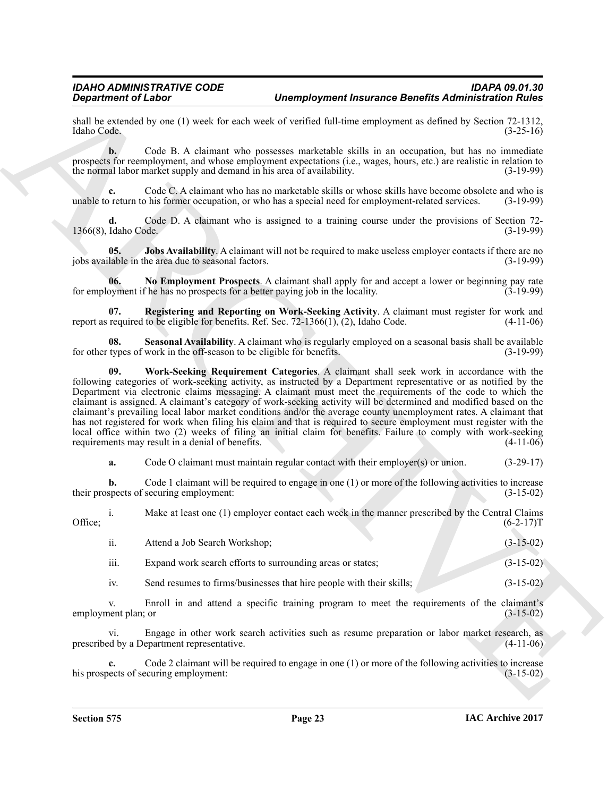shall be extended by one (1) week for each week of verified full-time employment as defined by Section 72-1312, Idaho Code. (3-25-16) Idaho Code. (3-25-16)

**b.** Code B. A claimant who possesses marketable skills in an occupation, but has no immediate prospects for reemployment, and whose employment expectations (i.e., wages, hours, etc.) are realistic in relation to<br>the normal labor market supply and demand in his area of availability. (3-19-99) the normal labor market supply and demand in his area of availability.

**c.** Code C. A claimant who has no marketable skills or whose skills have become obsolete and who is unable to return to his former occupation, or who has a special need for employment-related services. (3-19-99)

**d.** Code D. A claimant who is assigned to a training course under the provisions of Section 72-<br>Idaho Code. (3-19-99) 1366(8), Idaho Code.

<span id="page-22-0"></span>**05. Jobs Availability**. A claimant will not be required to make useless employer contacts if there are no lable in the area due to seasonal factors. (3-19-99) jobs available in the area due to seasonal factors.

<span id="page-22-1"></span>**No Employment Prospects**. A claimant shall apply for and accept a lower or beginning pay rate for a better paying job in the locality. for employment if he has no prospects for a better paying job in the locality.

<span id="page-22-2"></span>**07. Registering and Reporting on Work-Seeking Activity**. A claimant must register for work and report as required to be eligible for benefits. Ref. Sec.  $72-1366(1)$ ,  $(2)$ , Idaho Code.  $(4-11-06)$ 

<span id="page-22-4"></span><span id="page-22-3"></span>**08.** Seasonal Availability. A claimant who is regularly employed on a seasonal basis shall be available types of work in the off-season to be eligible for benefits. for other types of work in the off-season to be eligible for benefits.

**Consider of Linear Constraint Christian Christian Christian and the set of the constraint of River Constraint Christian and the set of the set of the set of the set of the set of the set of the set of the set of the set 09. Work-Seeking Requirement Categories**. A claimant shall seek work in accordance with the following categories of work-seeking activity, as instructed by a Department representative or as notified by the Department via electronic claims messaging. A claimant must meet the requirements of the code to which the claimant is assigned. A claimant's category of work-seeking activity will be determined and modified based on the claimant's prevailing local labor market conditions and/or the average county unemployment rates. A claimant that has not registered for work when filing his claim and that is required to secure employment must register with the local office within two (2) weeks of filing an initial claim for benefits. Failure to comply with work-seeking requirements may result in a denial of benefits. requirements may result in a denial of benefits.

**a.** Code O claimant must maintain regular contact with their employer(s) or union.  $(3-29-17)$ 

**b.** Code 1 claimant will be required to engage in one (1) or more of the following activities to increase spects of securing employment: (3-15-02) their prospects of securing employment:

i. Make at least one (1) employer contact each week in the manner prescribed by the Central Claims Office;  $(6-2-17)$ T

| $\cdot \cdot$<br>- 11. | Attend a Job Search Workshop;                              | $(3-15-02)$ |
|------------------------|------------------------------------------------------------|-------------|
| iii.                   | Expand work search efforts to surrounding areas or states; | $(3-15-02)$ |

iv. Send resumes to firms/businesses that hire people with their skills; (3-15-02)

v. Enroll in and attend a specific training program to meet the requirements of the claimant's employment plan; or (3-15-02)

vi. Engage in other work search activities such as resume preparation or labor market research, as prescribed by a Department representative. (4-11-06)

**c.** Code 2 claimant will be required to engage in one (1) or more of the following activities to increase his prospects of securing employment: (3-15-02)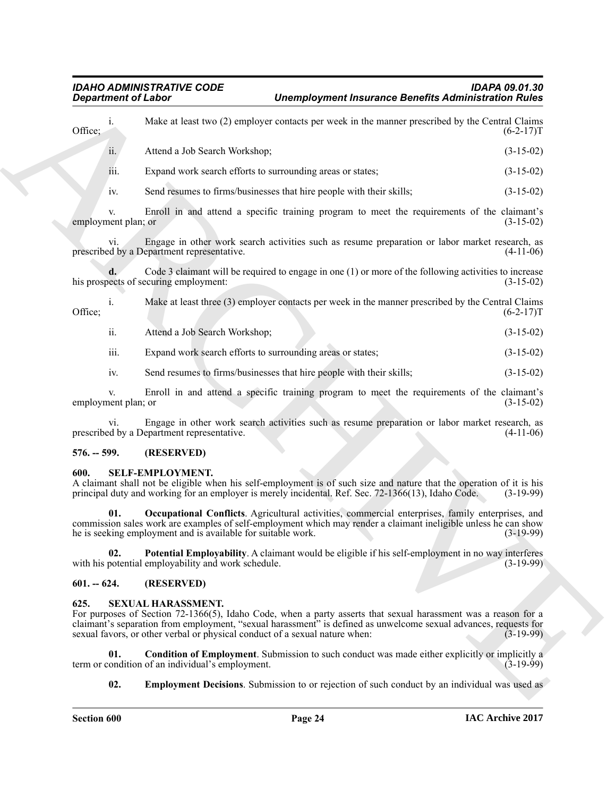**Expansion of Linear Stress Complete Considers and the system of Bureauto Complete Considers Complete Complete Complete Complete Complete Complete Complete Complete Complete Complete Complete Complete Complete Complete Co** i. Make at least two (2) employer contacts per week in the manner prescribed by the Central Claims Office;  $(6-2-17)$ T ii. Attend a Job Search Workshop; (3-15-02)

iii. Expand work search efforts to surrounding areas or states; (3-15-02)

iv. Send resumes to firms/businesses that hire people with their skills; (3-15-02)

Enroll in and attend a specific training program to meet the requirements of the claimant's (3-15-02) employment plan; or

vi. Engage in other work search activities such as resume preparation or labor market research, as prescribed by a Department representative. (4-11-06)

**d.** Code 3 claimant will be required to engage in one (1) or more of the following activities to increase ects of securing employment: (3-15-02) his prospects of securing employment:

i. Make at least three (3) employer contacts per week in the manner prescribed by the Central Claims Office;  $(6-2-17)$ T

ii. Attend a Job Search Workshop; (3-15-02)

iii. Expand work search efforts to surrounding areas or states; (3-15-02)

iv. Send resumes to firms/businesses that hire people with their skills; (3-15-02)

v. Enroll in and attend a specific training program to meet the requirements of the claimant's employment plan; or (3-15-02)

vi. Engage in other work search activities such as resume preparation or labor market research, as prescribed by a Department representative. (4-11-06)

#### <span id="page-23-0"></span>**576. -- 599. (RESERVED)**

#### <span id="page-23-4"></span><span id="page-23-1"></span>**600. SELF-EMPLOYMENT.**

A claimant shall not be eligible when his self-employment is of such size and nature that the operation of it is his principal duty and working for an employer is merely incidental. Ref. Sec. 72-1366(13), Idaho Code. (3-19-99)

<span id="page-23-5"></span>**01. Occupational Conflicts**. Agricultural activities, commercial enterprises, family enterprises, and commission sales work are examples of self-employment which may render a claimant ineligible unless he can show he is seeking employment and is available for suitable work. (3-19-99)

<span id="page-23-6"></span>**02. Potential Employability**. A claimant would be eligible if his self-employment in no way interferes potential employability and work schedule. with his potential employability and work schedule.

#### <span id="page-23-2"></span>**601. -- 624. (RESERVED)**

#### <span id="page-23-7"></span><span id="page-23-3"></span>**625. SEXUAL HARASSMENT.**

For purposes of Section 72-1366(5), Idaho Code, when a party asserts that sexual harassment was a reason for a claimant's separation from employment, "sexual harassment" is defined as unwelcome sexual advances, requests for sexual favors, or other verbal or physical conduct of a sexual nature when: (3-19-99)

**01. Condition of Employment**. Submission to such conduct was made either explicitly or implicitly a ondition of an individual's employment. term or condition of an individual's employment.

<span id="page-23-9"></span><span id="page-23-8"></span>**02. Employment Decisions**. Submission to or rejection of such conduct by an individual was used as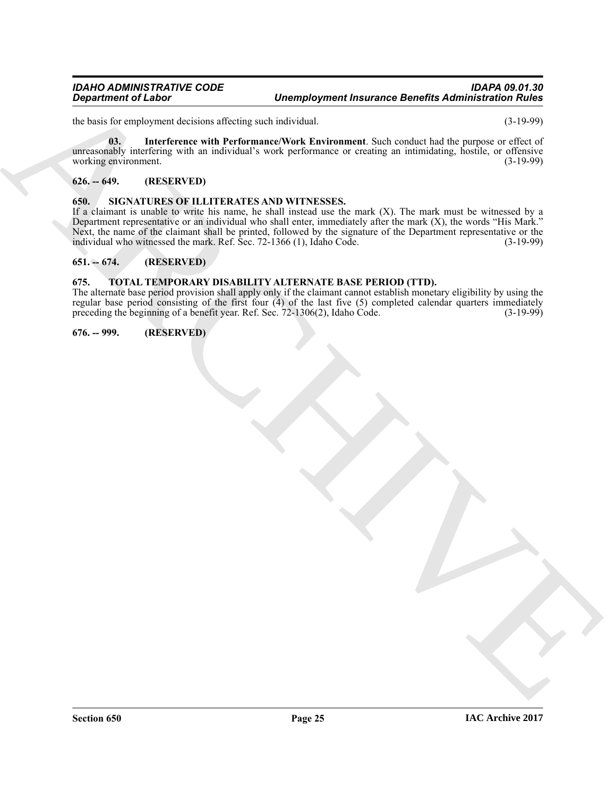the basis for employment decisions affecting such individual. (3-19-99)

<span id="page-24-5"></span>**03. Interference with Performance/Work Environment**. Such conduct had the purpose or effect of unreasonably interfering with an individual's work performance or creating an intimidating, hostile, or offensive working environment. (3-19-99)

#### <span id="page-24-0"></span>**626. -- 649. (RESERVED)**

#### <span id="page-24-6"></span><span id="page-24-1"></span>**650. SIGNATURES OF ILLITERATES AND WITNESSES.**

Department of Links<br>
the transportation of the methods include the two tests and the two states and the two states are not the two states and the two states are not the two states are not the two states are not the two st If a claimant is unable to write his name, he shall instead use the mark (X). The mark must be witnessed by a Department representative or an individual who shall enter, immediately after the mark (X), the words "His Mark." Next, the name of the claimant shall be printed, followed by the signature of the Department representative or the individual who witnessed the mark. Ref. Sec. 72-1366 (1). Idaho Code. (3-19-99) individual who witnessed the mark. Ref. Sec.  $72-1366$  (1), Idaho Code.

#### <span id="page-24-2"></span>**651. -- 674. (RESERVED)**

#### <span id="page-24-7"></span><span id="page-24-3"></span>**675. TOTAL TEMPORARY DISABILITY ALTERNATE BASE PERIOD (TTD).**

The alternate base period provision shall apply only if the claimant cannot establish monetary eligibility by using the regular base period consisting of the first four (4) of the last five (5) completed calendar quarters immediately preceding the beginning of a benefit year. Ref. Sec. 72-1306(2), Idaho Code. (3-19-99)

#### <span id="page-24-4"></span>**676. -- 999. (RESERVED)**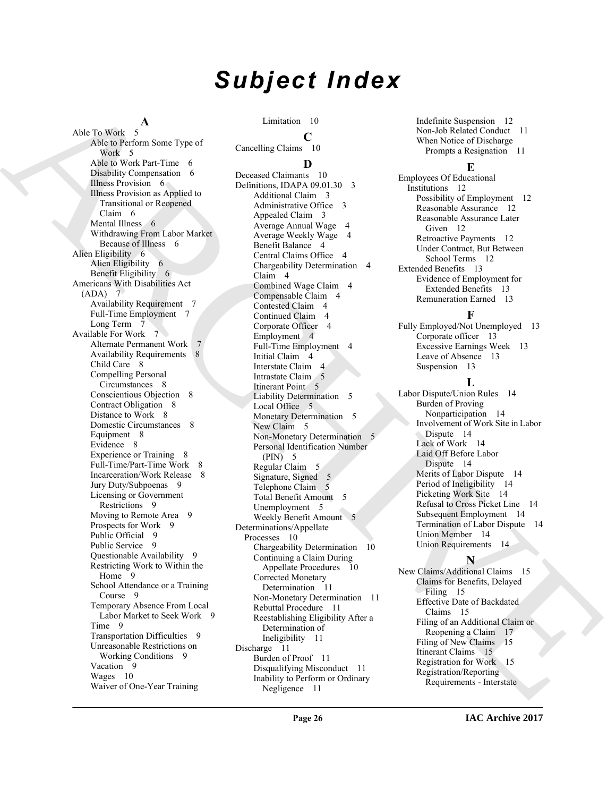# *Subject Index*

#### **A**

Also to determine to be a strengthene of the strengthene of the strengthene of the strengthene of the strengthene of the strengthene of the strengthene of the strengthene of the strengthene of the strengthene of the stren Able To Work 5 Able to Perform Some Type of Work 5 Able to Work Part-Time 6 Disability Compensation 6 Illness Provision 6 Illness Provision as Applied to Transitional or Reopened Claim 6 Mental Illness 6 Withdrawing From Labor Market Because of Illness 6 Alien Eligibility 6 Alien Eligibility 6 Benefit Eligibility 6 Americans With Disabilities Act (ADA) 7 Availability Requirement 7 Full-Time Employment 7 Long Term 7 Available For Work 7 Alternate Permanent Work 7 Availability Requirements 8 Child Care 8 Compelling Personal Circumstances 8 Conscientious Objection 8 Contract Obligation 8 Distance to Work 8 Domestic Circumstances 8 Equipment 8 Evidence 8 Experience or Training 8 Full-Time/Part-Time Work 8 Incarceration/Work Release 8 Jury Duty/Subpoenas 9 Licensing or Government Restrictions 9 Moving to Remote Area 9 Prospects for Work 9 Public Official 9 Public Service 9 Questionable Availability 9 Restricting Work to Within the Home 9 School Attendance or a Training Course 9 Temporary Absence From Local Labor Market to Seek Work 9 Time 9 Transportation Difficulties 9 Unreasonable Restrictions on Working Conditions 9 Vacation 9 Wages 10 Waiver of One-Year Training

Limitation 10

#### **C**

Cancelling Claims 10

### **D**

Deceased Claimants 10 Definitions, IDAPA 09.01.30 3 Additional Claim 3 Administrative Office 3 Appealed Claim 3 Average Annual Wage 4 Average Weekly Wage 4 Benefit Balance 4 Central Claims Office 4 Chargeability Determination 4 Claim 4 Combined Wage Claim 4 Compensable Claim 4 Contested Claim 4 Continued Claim 4 Corporate Officer 4 Employment 4 Full-Time Employment 4 Initial Claim 4 Interstate Claim 4 Intrastate Claim 5 Itinerant Point 5 Liability Determination 5 Local Office 5 Monetary Determination 5 New Claim 5 Non-Monetary Determination 5 Personal Identification Number  $(PIN)$  5 Regular Claim 5 Signature, Signed 5 Telephone Claim 5 Total Benefit Amount 5 Unemployment 5 Weekly Benefit Amount 5 Determinations/Appellate Processes 10 Chargeability Determination 10 Continuing a Claim During Appellate Procedures 10 Corrected Monetary Determination 11 Non-Monetary Determination 11 Rebuttal Procedure 11 Reestablishing Eligibility After a Determination of Ineligibility 11 Discharge 11 Burden of Proof 11 Disqualifying Misconduct 11 Inability to Perform or Ordinary Negligence 11

Indefinite Suspension 12 Non-Job Related Conduct 11 When Notice of Discharge Prompts a Resignation 11

#### **E**

Employees Of Educational Institutions 12 Possibility of Employment 12 Reasonable Assurance 12 Reasonable Assurance Later Given 12 Retroactive Payments 12 Under Contract, But Between School Terms 12 Extended Benefits 13 Evidence of Employment for Extended Benefits 13 Remuneration Earned 13

# **F**

Fully Employed/Not Unemployed 13 Corporate officer 13 Excessive Earnings Week 13 Leave of Absence 13 Suspension 13

### **L**

Labor Dispute/Union Rules 14 Burden of Proving Nonparticipation 14 Involvement of Work Site in Labor Dispute 14 Lack of Work 14 Laid Off Before Labor Dispute 14 Merits of Labor Dispute 14 Period of Ineligibility 14 Picketing Work Site 14 Refusal to Cross Picket Line 14 Subsequent Employment 14 Termination of Labor Dispute 14 Union Member 14 Union Requirements 14

# **N**

New Claims/Additional Claims 15 Claims for Benefits, Delayed Filing 15 Effective Date of Backdated Claims 15 Filing of an Additional Claim or Reopening a Claim 17 Filing of New Claims 15 Itinerant Claims 15 Registration for Work 15 Registration/Reporting Requirements - Interstate